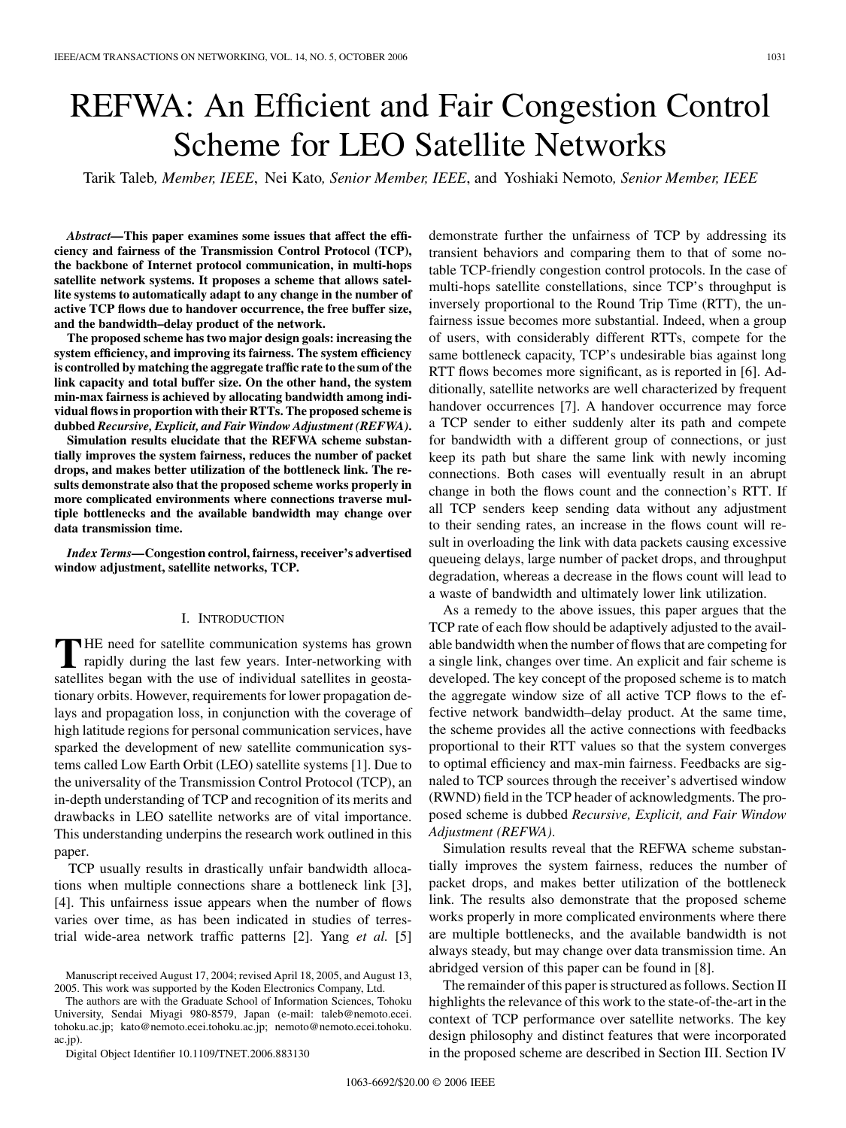# REFWA: An Efficient and Fair Congestion Control Scheme for LEO Satellite Networks

Tarik Taleb*, Member, IEEE*, Nei Kato*, Senior Member, IEEE*, and Yoshiaki Nemoto*, Senior Member, IEEE*

*Abstract—***This paper examines some issues that affect the efficiency and fairness of the Transmission Control Protocol (TCP), the backbone of Internet protocol communication, in multi-hops satellite network systems. It proposes a scheme that allows satellite systems to automatically adapt to any change in the number of active TCP flows due to handover occurrence, the free buffer size, and the bandwidth–delay product of the network.**

**The proposed scheme has two major design goals: increasing the system efficiency, and improving its fairness. The system efficiency is controlled by matching the aggregate traffic rate to the sum of the link capacity and total buffer size. On the other hand, the system min-max fairness is achieved by allocating bandwidth among individual flows in proportion with their RTTs. The proposed scheme is dubbed** *Recursive, Explicit, and Fair Window Adjustment (REFWA)***.**

**Simulation results elucidate that the REFWA scheme substantially improves the system fairness, reduces the number of packet drops, and makes better utilization of the bottleneck link. The results demonstrate also that the proposed scheme works properly in more complicated environments where connections traverse multiple bottlenecks and the available bandwidth may change over data transmission time.**

*Index Terms—***Congestion control, fairness, receiver's advertised window adjustment, satellite networks, TCP.**

# I. INTRODUCTION

**T**HE need for satellite communication systems has grown rapidly during the last few years. Inter-networking with satellites began with the use of individual satellites in geostationary orbits. However, requirements for lower propagation delays and propagation loss, in conjunction with the coverage of high latitude regions for personal communication services, have sparked the development of new satellite communication systems called Low Earth Orbit (LEO) satellite systems [\[1\]](#page-12-0). Due to the universality of the Transmission Control Protocol (TCP), an in-depth understanding of TCP and recognition of its merits and drawbacks in LEO satellite networks are of vital importance. This understanding underpins the research work outlined in this paper.

TCP usually results in drastically unfair bandwidth allocations when multiple connections share a bottleneck link [\[3\],](#page-12-0) [\[4\].](#page-12-0) This unfairness issue appears when the number of flows varies over time, as has been indicated in studies of terrestrial wide-area network traffic patterns [\[2\]](#page-12-0). Yang *et al.* [\[5\]](#page-12-0)

The authors are with the Graduate School of Information Sciences, Tohoku University, Sendai Miyagi 980-8579, Japan (e-mail: taleb@nemoto.ecei. tohoku.ac.jp; kato@nemoto.ecei.tohoku.ac.jp; nemoto@nemoto.ecei.tohoku. ac.jp).

Digital Object Identifier 10.1109/TNET.2006.883130

demonstrate further the unfairness of TCP by addressing its transient behaviors and comparing them to that of some notable TCP-friendly congestion control protocols. In the case of multi-hops satellite constellations, since TCP's throughput is inversely proportional to the Round Trip Time (RTT), the unfairness issue becomes more substantial. Indeed, when a group of users, with considerably different RTTs, compete for the same bottleneck capacity, TCP's undesirable bias against long RTT flows becomes more significant, as is reported in [\[6\].](#page-12-0) Additionally, satellite networks are well characterized by frequent handover occurrences [\[7\].](#page-12-0) A handover occurrence may force a TCP sender to either suddenly alter its path and compete for bandwidth with a different group of connections, or just keep its path but share the same link with newly incoming connections. Both cases will eventually result in an abrupt change in both the flows count and the connection's RTT. If all TCP senders keep sending data without any adjustment to their sending rates, an increase in the flows count will result in overloading the link with data packets causing excessive queueing delays, large number of packet drops, and throughput degradation, whereas a decrease in the flows count will lead to a waste of bandwidth and ultimately lower link utilization.

As a remedy to the above issues, this paper argues that the TCP rate of each flow should be adaptively adjusted to the available bandwidth when the number of flows that are competing for a single link, changes over time. An explicit and fair scheme is developed. The key concept of the proposed scheme is to match the aggregate window size of all active TCP flows to the effective network bandwidth–delay product. At the same time, the scheme provides all the active connections with feedbacks proportional to their RTT values so that the system converges to optimal efficiency and max-min fairness. Feedbacks are signaled to TCP sources through the receiver's advertised window (RWND) field in the TCP header of acknowledgments. The proposed scheme is dubbed *Recursive, Explicit, and Fair Window Adjustment (REFWA)*.

Simulation results reveal that the REFWA scheme substantially improves the system fairness, reduces the number of packet drops, and makes better utilization of the bottleneck link. The results also demonstrate that the proposed scheme works properly in more complicated environments where there are multiple bottlenecks, and the available bandwidth is not always steady, but may change over data transmission time. An abridged version of this paper can be found in [\[8\]](#page-12-0).

The remainder of this paper is structured as follows. [Section II](#page-1-0) highlights the relevance of this work to the state-of-the-art in the context of TCP performance over satellite networks. The key design philosophy and distinct features that were incorporated in the proposed scheme are described in [Section III.](#page-2-0) [Section IV](#page-3-0)

Manuscript received August 17, 2004; revised April 18, 2005, and August 13, 2005. This work was supported by the Koden Electronics Company, Ltd.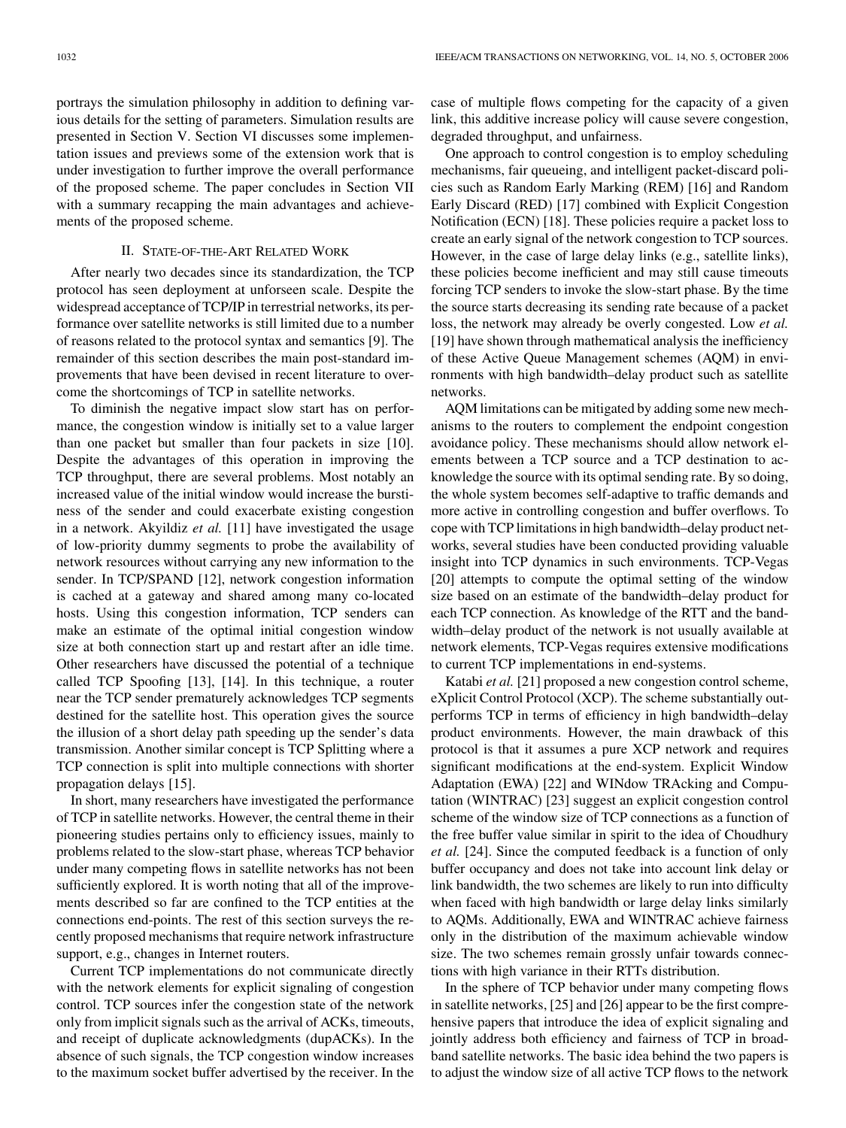<span id="page-1-0"></span>portrays the simulation philosophy in addition to defining various details for the setting of parameters. Simulation results are presented in [Section V.](#page-4-0) [Section VI](#page-9-0) discusses some implementation issues and previews some of the extension work that is under investigation to further improve the overall performance of the proposed scheme. The paper concludes in [Section VII](#page-10-0) with a summary recapping the main advantages and achievements of the proposed scheme.

## II. STATE-OF-THE-ART RELATED WORK

After nearly two decades since its standardization, the TCP protocol has seen deployment at unforseen scale. Despite the widespread acceptance of TCP/IP in terrestrial networks, its performance over satellite networks is still limited due to a number of reasons related to the protocol syntax and semantics [\[9\]](#page-12-0). The remainder of this section describes the main post-standard improvements that have been devised in recent literature to overcome the shortcomings of TCP in satellite networks.

To diminish the negative impact slow start has on performance, the congestion window is initially set to a value larger than one packet but smaller than four packets in size [\[10\]](#page-12-0). Despite the advantages of this operation in improving the TCP throughput, there are several problems. Most notably an increased value of the initial window would increase the burstiness of the sender and could exacerbate existing congestion in a network. Akyildiz *et al.* [\[11\]](#page-12-0) have investigated the usage of low-priority dummy segments to probe the availability of network resources without carrying any new information to the sender. In TCP/SPAND [\[12\],](#page-12-0) network congestion information is cached at a gateway and shared among many co-located hosts. Using this congestion information, TCP senders can make an estimate of the optimal initial congestion window size at both connection start up and restart after an idle time. Other researchers have discussed the potential of a technique called TCP Spoofing [\[13\]](#page-12-0), [\[14\]](#page-12-0). In this technique, a router near the TCP sender prematurely acknowledges TCP segments destined for the satellite host. This operation gives the source the illusion of a short delay path speeding up the sender's data transmission. Another similar concept is TCP Splitting where a TCP connection is split into multiple connections with shorter propagation delays [\[15\].](#page-12-0)

In short, many researchers have investigated the performance of TCP in satellite networks. However, the central theme in their pioneering studies pertains only to efficiency issues, mainly to problems related to the slow-start phase, whereas TCP behavior under many competing flows in satellite networks has not been sufficiently explored. It is worth noting that all of the improvements described so far are confined to the TCP entities at the connections end-points. The rest of this section surveys the recently proposed mechanisms that require network infrastructure support, e.g., changes in Internet routers.

Current TCP implementations do not communicate directly with the network elements for explicit signaling of congestion control. TCP sources infer the congestion state of the network only from implicit signals such as the arrival of ACKs, timeouts, and receipt of duplicate acknowledgments (dupACKs). In the absence of such signals, the TCP congestion window increases to the maximum socket buffer advertised by the receiver. In the case of multiple flows competing for the capacity of a given link, this additive increase policy will cause severe congestion, degraded throughput, and unfairness.

One approach to control congestion is to employ scheduling mechanisms, fair queueing, and intelligent packet-discard policies such as Random Early Marking (REM) [\[16\]](#page-12-0) and Random Early Discard (RED) [\[17\]](#page-12-0) combined with Explicit Congestion Notification (ECN) [\[18\]](#page-12-0). These policies require a packet loss to create an early signal of the network congestion to TCP sources. However, in the case of large delay links (e.g., satellite links), these policies become inefficient and may still cause timeouts forcing TCP senders to invoke the slow-start phase. By the time the source starts decreasing its sending rate because of a packet loss, the network may already be overly congested. Low *et al.* [\[19\]](#page-12-0) have shown through mathematical analysis the inefficiency of these Active Queue Management schemes (AQM) in environments with high bandwidth–delay product such as satellite networks.

AQM limitations can be mitigated by adding some new mechanisms to the routers to complement the endpoint congestion avoidance policy. These mechanisms should allow network elements between a TCP source and a TCP destination to acknowledge the source with its optimal sending rate. By so doing, the whole system becomes self-adaptive to traffic demands and more active in controlling congestion and buffer overflows. To cope with TCP limitations in high bandwidth–delay product networks, several studies have been conducted providing valuable insight into TCP dynamics in such environments. TCP-Vegas [\[20\]](#page-12-0) attempts to compute the optimal setting of the window size based on an estimate of the bandwidth–delay product for each TCP connection. As knowledge of the RTT and the bandwidth–delay product of the network is not usually available at network elements, TCP-Vegas requires extensive modifications to current TCP implementations in end-systems.

Katabi *et al.* [\[21\]](#page-12-0) proposed a new congestion control scheme, eXplicit Control Protocol (XCP). The scheme substantially outperforms TCP in terms of efficiency in high bandwidth–delay product environments. However, the main drawback of this protocol is that it assumes a pure XCP network and requires significant modifications at the end-system. Explicit Window Adaptation (EWA) [\[22\]](#page-12-0) and WINdow TRAcking and Computation (WINTRAC) [\[23\]](#page-12-0) suggest an explicit congestion control scheme of the window size of TCP connections as a function of the free buffer value similar in spirit to the idea of Choudhury *et al.* [\[24\].](#page-12-0) Since the computed feedback is a function of only buffer occupancy and does not take into account link delay or link bandwidth, the two schemes are likely to run into difficulty when faced with high bandwidth or large delay links similarly to AQMs. Additionally, EWA and WINTRAC achieve fairness only in the distribution of the maximum achievable window size. The two schemes remain grossly unfair towards connections with high variance in their RTTs distribution.

In the sphere of TCP behavior under many competing flows in satellite networks, [\[25\]](#page-12-0) and [\[26\]](#page-12-0) appear to be the first comprehensive papers that introduce the idea of explicit signaling and jointly address both efficiency and fairness of TCP in broadband satellite networks. The basic idea behind the two papers is to adjust the window size of all active TCP flows to the network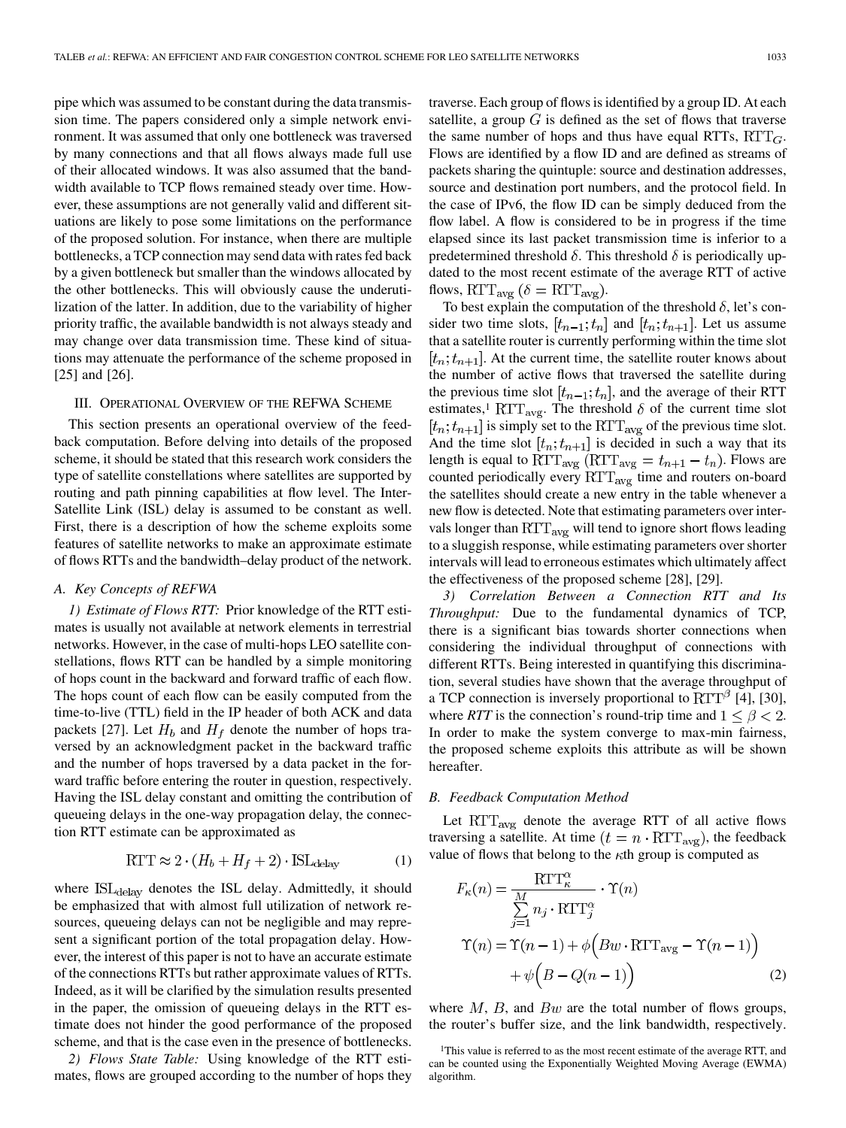<span id="page-2-0"></span>pipe which was assumed to be constant during the data transmission time. The papers considered only a simple network environment. It was assumed that only one bottleneck was traversed by many connections and that all flows always made full use of their allocated windows. It was also assumed that the bandwidth available to TCP flows remained steady over time. However, these assumptions are not generally valid and different situations are likely to pose some limitations on the performance of the proposed solution. For instance, when there are multiple bottlenecks, a TCP connection may send data with rates fed back by a given bottleneck but smaller than the windows allocated by the other bottlenecks. This will obviously cause the underutilization of the latter. In addition, due to the variability of higher priority traffic, the available bandwidth is not always steady and may change over data transmission time. These kind of situations may attenuate the performance of the scheme proposed in [\[25\]](#page-12-0) and [\[26\].](#page-12-0)

## III. OPERATIONAL OVERVIEW OF THE REFWA SCHEME

This section presents an operational overview of the feedback computation. Before delving into details of the proposed scheme, it should be stated that this research work considers the type of satellite constellations where satellites are supported by routing and path pinning capabilities at flow level. The Inter-Satellite Link (ISL) delay is assumed to be constant as well. First, there is a description of how the scheme exploits some features of satellite networks to make an approximate estimate of flows RTTs and the bandwidth–delay product of the network.

# *A. Key Concepts of REFWA*

*1) Estimate of Flows RTT:* Prior knowledge of the RTT estimates is usually not available at network elements in terrestrial networks. However, in the case of multi-hops LEO satellite constellations, flows RTT can be handled by a simple monitoring of hops count in the backward and forward traffic of each flow. The hops count of each flow can be easily computed from the time-to-live (TTL) field in the IP header of both ACK and data packets [\[27\].](#page-12-0) Let  $H_b$  and  $H_f$  denote the number of hops traversed by an acknowledgment packet in the backward traffic and the number of hops traversed by a data packet in the forward traffic before entering the router in question, respectively. Having the ISL delay constant and omitting the contribution of queueing delays in the one-way propagation delay, the connection RTT estimate can be approximated as

$$
RTT \approx 2 \cdot (H_b + H_f + 2) \cdot ISL_{delay}
$$
 (1)

where  $ISL_{delay}$  denotes the ISL delay. Admittedly, it should be emphasized that with almost full utilization of network resources, queueing delays can not be negligible and may represent a significant portion of the total propagation delay. However, the interest of this paper is not to have an accurate estimate of the connections RTTs but rather approximate values of RTTs. Indeed, as it will be clarified by the simulation results presented in the paper, the omission of queueing delays in the RTT estimate does not hinder the good performance of the proposed scheme, and that is the case even in the presence of bottlenecks.

*2) Flows State Table:* Using knowledge of the RTT estimates, flows are grouped according to the number of hops they traverse. Each group of flows is identified by a group ID. At each satellite, a group  $G$  is defined as the set of flows that traverse the same number of hops and thus have equal RTTs,  $RTT_G$ . Flows are identified by a flow ID and are defined as streams of packets sharing the quintuple: source and destination addresses, source and destination port numbers, and the protocol field. In the case of IPv6, the flow ID can be simply deduced from the flow label. A flow is considered to be in progress if the time elapsed since its last packet transmission time is inferior to a predetermined threshold  $\delta$ . This threshold  $\delta$  is periodically updated to the most recent estimate of the average RTT of active flows,  $RTT_{avg}$  ( $\delta = RTT_{avg}$ ).

To best explain the computation of the threshold  $\delta$ , let's consider two time slots,  $[t_{n-1}; t_n]$  and  $[t_n; t_{n+1}]$ . Let us assume that a satellite router is currently performing within the time slot  $[t_n;t_{n+1}]$ . At the current time, the satellite router knows about the number of active flows that traversed the satellite during the previous time slot  $[t_{n-1}; t_n]$ , and the average of their RTT estimates,<sup>1</sup> RTT<sub>avg</sub>. The threshold  $\delta$  of the current time slot  $[t_n;t_{n+1}]$  is simply set to the  $\text{RTT}_{\text{avg}}$  of the previous time slot. And the time slot  $[t_n; t_{n+1}]$  is decided in such a way that its length is equal to  $\text{RTT}_{\text{avg}}$  ( $\text{RTT}_{\text{avg}} = t_{n+1} - t_n$ ). Flows are counted periodically every  $\text{RTT}_{\text{avg}}$  time and routers on-board the satellites should create a new entry in the table whenever a new flow is detected. Note that estimating parameters over intervals longer than  $\text{RTT}_{\text{avg}}$  will tend to ignore short flows leading to a sluggish response, while estimating parameters over shorter intervals will lead to erroneous estimates which ultimately affect the effectiveness of the proposed scheme [\[28\], \[29\]](#page-12-0).

*3) Correlation Between a Connection RTT and Its Throughput:* Due to the fundamental dynamics of TCP, there is a significant bias towards shorter connections when considering the individual throughput of connections with different RTTs. Being interested in quantifying this discrimination, several studies have shown that the average throughput of a TCP connection is inversely proportional to  $RTT^{\beta}$  [\[4\], \[30\],](#page-12-0) where *RTT* is the connection's round-trip time and  $1 \le \beta < 2$ . In order to make the system converge to max-min fairness, the proposed scheme exploits this attribute as will be shown hereafter.

# *B. Feedback Computation Method*

Let  $\text{RTT}_{\text{avg}}$  denote the average RTT of all active flows traversing a satellite. At time  $(t = n \cdot RTT_{avg})$ , the feedback value of flows that belong to the  $\kappa$ th group is computed as

$$
F_{\kappa}(n) = \frac{\operatorname{RTT}_{\kappa}^{\alpha}}{\sum_{j=1}^{M} n_j \cdot \operatorname{RTT}_{j}^{\alpha}} \cdot \Upsilon(n)
$$

$$
\Upsilon(n) = \Upsilon(n-1) + \phi \left( Bw \cdot \operatorname{RTT}_{\text{avg}} - \Upsilon(n-1) \right)
$$

$$
+ \psi \left( B - Q(n-1) \right) \tag{2}
$$

where  $M$ ,  $B$ , and  $Bw$  are the total number of flows groups, the router's buffer size, and the link bandwidth, respectively.

<sup>1</sup>This value is referred to as the most recent estimate of the average RTT, and can be counted using the Exponentially Weighted Moving Average (EWMA) algorithm.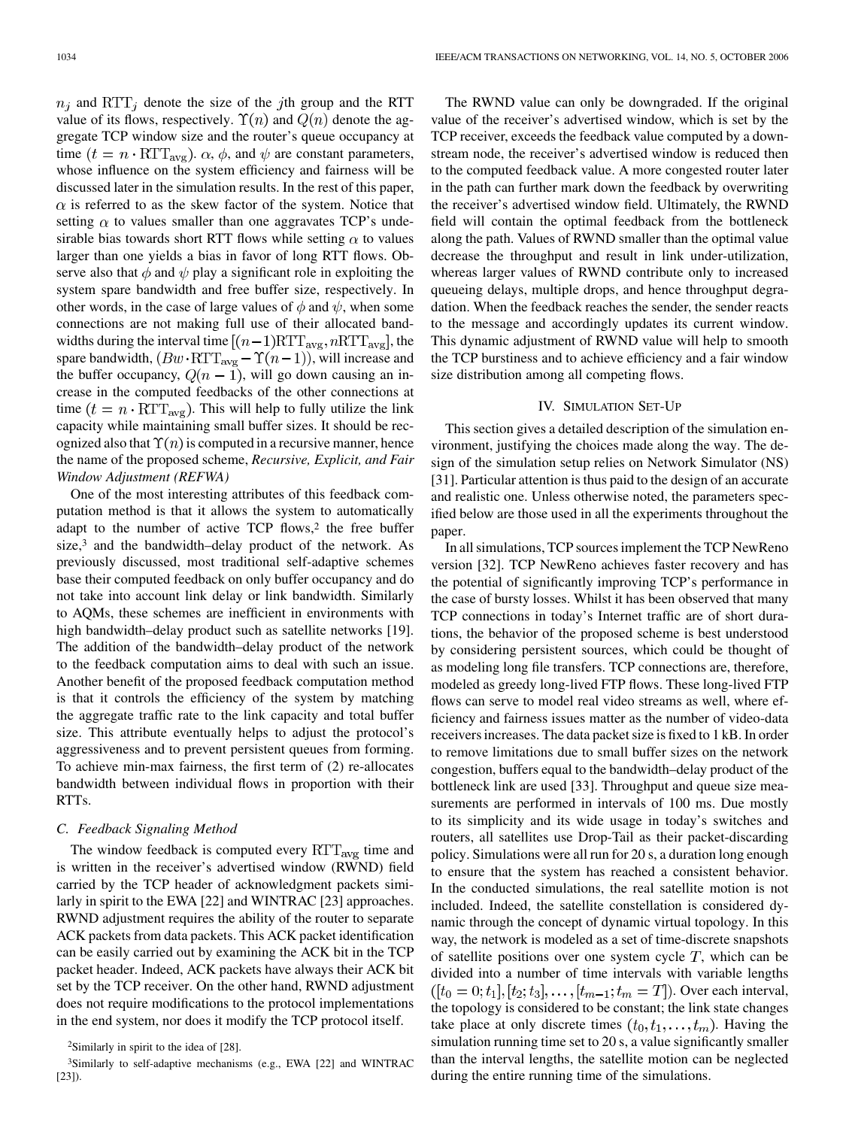<span id="page-3-0"></span> $n_i$  and RTT<sub>i</sub> denote the size of the jth group and the RTT value of its flows, respectively.  $\Upsilon(n)$  and  $Q(n)$  denote the aggregate TCP window size and the router's queue occupancy at time  $(t = n \cdot \text{RTT}_{\text{avg}})$ .  $\alpha$ ,  $\phi$ , and  $\psi$  are constant parameters, whose influence on the system efficiency and fairness will be discussed later in the simulation results. In the rest of this paper,  $\alpha$  is referred to as the skew factor of the system. Notice that setting  $\alpha$  to values smaller than one aggravates TCP's undesirable bias towards short RTT flows while setting  $\alpha$  to values larger than one yields a bias in favor of long RTT flows. Observe also that  $\phi$  and  $\psi$  play a significant role in exploiting the system spare bandwidth and free buffer size, respectively. In other words, in the case of large values of  $\phi$  and  $\psi$ , when some connections are not making full use of their allocated bandwidths during the interval time  $[(n-1)RTT_{\text{avg}}, nRTT_{\text{avg}}]$ , the spare bandwidth,  $(Bw \cdot \text{RTT}_{\text{avg}} - \Upsilon(n-1))$ , will increase and the buffer occupancy,  $Q(n-1)$ , will go down causing an increase in the computed feedbacks of the other connections at time  $(t = n \cdot RTT_{avg})$ . This will help to fully utilize the link capacity while maintaining small buffer sizes. It should be recognized also that  $\Upsilon(n)$  is computed in a recursive manner, hence the name of the proposed scheme, *Recursive, Explicit, and Fair Window Adjustment (REFWA)*

One of the most interesting attributes of this feedback computation method is that it allows the system to automatically adapt to the number of active TCP flows,2 the free buffer size,<sup>3</sup> and the bandwidth–delay product of the network. As previously discussed, most traditional self-adaptive schemes base their computed feedback on only buffer occupancy and do not take into account link delay or link bandwidth. Similarly to AQMs, these schemes are inefficient in environments with high bandwidth–delay product such as satellite networks [\[19\]](#page-12-0). The addition of the bandwidth–delay product of the network to the feedback computation aims to deal with such an issue. Another benefit of the proposed feedback computation method is that it controls the efficiency of the system by matching the aggregate traffic rate to the link capacity and total buffer size. This attribute eventually helps to adjust the protocol's aggressiveness and to prevent persistent queues from forming. To achieve min-max fairness, the first term of [\(2\)](#page-2-0) re-allocates bandwidth between individual flows in proportion with their RTTs.

# *C. Feedback Signaling Method*

The window feedback is computed every  $\text{RTT}_{\text{avg}}$  time and is written in the receiver's advertised window (RWND) field carried by the TCP header of acknowledgment packets similarly in spirit to the EWA [\[22\]](#page-12-0) and WINTRAC [\[23\]](#page-12-0) approaches. RWND adjustment requires the ability of the router to separate ACK packets from data packets. This ACK packet identification can be easily carried out by examining the ACK bit in the TCP packet header. Indeed, ACK packets have always their ACK bit set by the TCP receiver. On the other hand, RWND adjustment does not require modifications to the protocol implementations in the end system, nor does it modify the TCP protocol itself.

The RWND value can only be downgraded. If the original value of the receiver's advertised window, which is set by the TCP receiver, exceeds the feedback value computed by a downstream node, the receiver's advertised window is reduced then to the computed feedback value. A more congested router later in the path can further mark down the feedback by overwriting the receiver's advertised window field. Ultimately, the RWND field will contain the optimal feedback from the bottleneck along the path. Values of RWND smaller than the optimal value decrease the throughput and result in link under-utilization, whereas larger values of RWND contribute only to increased queueing delays, multiple drops, and hence throughput degradation. When the feedback reaches the sender, the sender reacts to the message and accordingly updates its current window. This dynamic adjustment of RWND value will help to smooth the TCP burstiness and to achieve efficiency and a fair window size distribution among all competing flows.

# IV. SIMULATION SET-UP

This section gives a detailed description of the simulation environment, justifying the choices made along the way. The design of the simulation setup relies on Network Simulator (NS) [\[31\]](#page-12-0). Particular attention is thus paid to the design of an accurate and realistic one. Unless otherwise noted, the parameters specified below are those used in all the experiments throughout the paper.

In all simulations, TCP sources implement the TCP NewReno version [\[32\].](#page-12-0) TCP NewReno achieves faster recovery and has the potential of significantly improving TCP's performance in the case of bursty losses. Whilst it has been observed that many TCP connections in today's Internet traffic are of short durations, the behavior of the proposed scheme is best understood by considering persistent sources, which could be thought of as modeling long file transfers. TCP connections are, therefore, modeled as greedy long-lived FTP flows. These long-lived FTP flows can serve to model real video streams as well, where efficiency and fairness issues matter as the number of video-data receivers increases. The data packet size is fixed to 1 kB. In order to remove limitations due to small buffer sizes on the network congestion, buffers equal to the bandwidth–delay product of the bottleneck link are used [\[33\]](#page-13-0). Throughput and queue size measurements are performed in intervals of 100 ms. Due mostly to its simplicity and its wide usage in today's switches and routers, all satellites use Drop-Tail as their packet-discarding policy. Simulations were all run for 20 s, a duration long enough to ensure that the system has reached a consistent behavior. In the conducted simulations, the real satellite motion is not included. Indeed, the satellite constellation is considered dynamic through the concept of dynamic virtual topology. In this way, the network is modeled as a set of time-discrete snapshots of satellite positions over one system cycle  $T$ , which can be divided into a number of time intervals with variable lengths  $([t_0 = 0; t_1], [t_2; t_3], \dots, [t_{m-1}; t_m = T])$ . Over each interval, the topology is considered to be constant; the link state changes take place at only discrete times  $(t_0, t_1, \ldots, t_m)$ . Having the simulation running time set to 20 s, a value significantly smaller than the interval lengths, the satellite motion can be neglected during the entire running time of the simulations.

<sup>2</sup>Similarly in spirit to the idea of [\[28\].](#page-12-0)

<sup>3</sup>Similarly to self-adaptive mechanisms (e.g., EWA [\[22\]](#page-12-0) and WINTRAC [\[23\]\)](#page-12-0).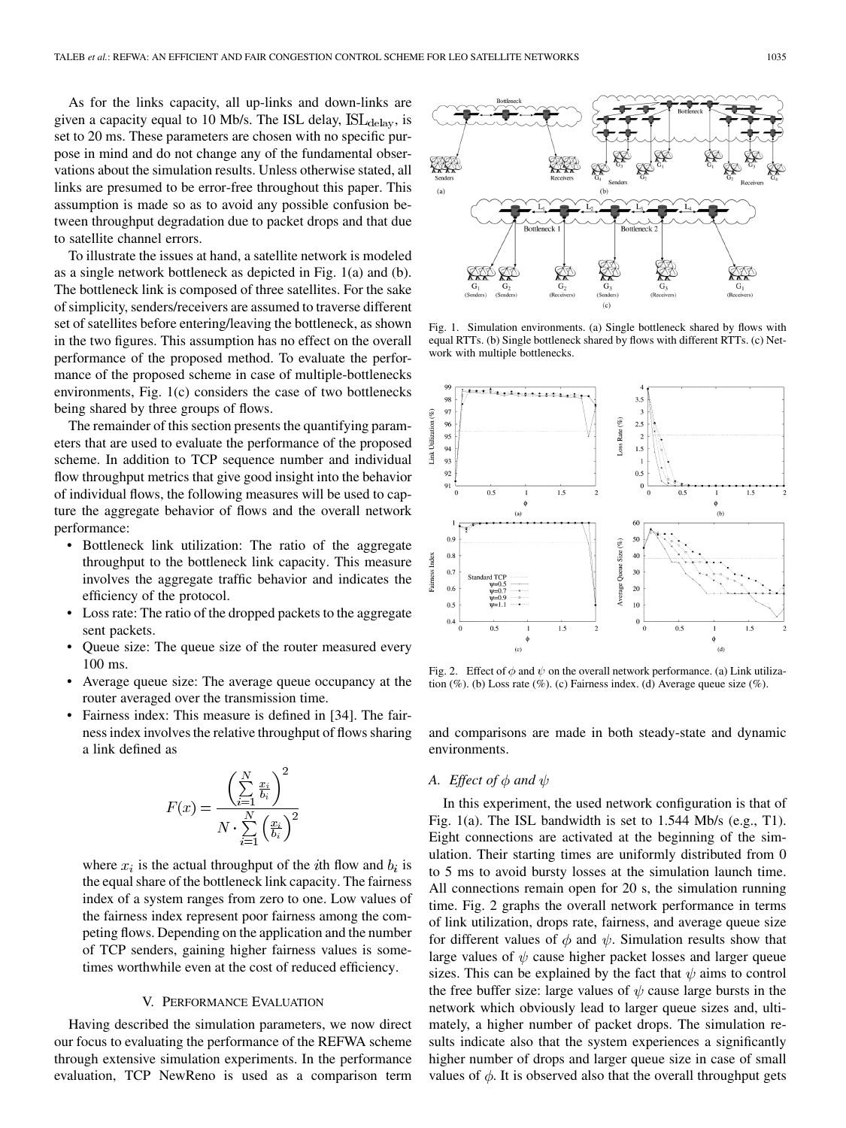<span id="page-4-0"></span>As for the links capacity, all up-links and down-links are given a capacity equal to 10 Mb/s. The ISL delay,  $\text{ISL}_{\text{delay}}$ , is set to 20 ms. These parameters are chosen with no specific purpose in mind and do not change any of the fundamental observations about the simulation results. Unless otherwise stated, all links are presumed to be error-free throughout this paper. This assumption is made so as to avoid any possible confusion between throughput degradation due to packet drops and that due to satellite channel errors.

To illustrate the issues at hand, a satellite network is modeled as a single network bottleneck as depicted in Fig. 1(a) and (b). The bottleneck link is composed of three satellites. For the sake of simplicity, senders/receivers are assumed to traverse different set of satellites before entering/leaving the bottleneck, as shown in the two figures. This assumption has no effect on the overall performance of the proposed method. To evaluate the performance of the proposed scheme in case of multiple-bottlenecks environments, Fig. 1(c) considers the case of two bottlenecks being shared by three groups of flows.

The remainder of this section presents the quantifying parameters that are used to evaluate the performance of the proposed scheme. In addition to TCP sequence number and individual flow throughput metrics that give good insight into the behavior of individual flows, the following measures will be used to capture the aggregate behavior of flows and the overall network performance:

- Bottleneck link utilization: The ratio of the aggregate throughput to the bottleneck link capacity. This measure involves the aggregate traffic behavior and indicates the efficiency of the protocol.
- Loss rate: The ratio of the dropped packets to the aggregate sent packets.
- Queue size: The queue size of the router measured every 100 ms.
- Average queue size: The average queue occupancy at the router averaged over the transmission time.
- Fairness index: This measure is defined in [\[34\]](#page-13-0). The fairness index involves the relative throughput of flows sharing a link defined as

$$
F(x) = \frac{\left(\sum_{i=1}^{N} \frac{x_i}{b_i}\right)^2}{N \cdot \sum_{i=1}^{N} \left(\frac{x_i}{b_i}\right)^2}
$$

where  $x_i$  is the actual throughput of the *i*th flow and  $b_i$  is the equal share of the bottleneck link capacity. The fairness index of a system ranges from zero to one. Low values of the fairness index represent poor fairness among the competing flows. Depending on the application and the number of TCP senders, gaining higher fairness values is sometimes worthwhile even at the cost of reduced efficiency.

#### V. PERFORMANCE EVALUATION

Having described the simulation parameters, we now direct our focus to evaluating the performance of the REFWA scheme through extensive simulation experiments. In the performance evaluation, TCP NewReno is used as a comparison term



Fig. 1. Simulation environments. (a) Single bottleneck shared by flows with equal RTTs. (b) Single bottleneck shared by flows with different RTTs. (c) Network with multiple bottlenecks.



Fig. 2. Effect of  $\phi$  and  $\psi$  on the overall network performance. (a) Link utilization  $(\%)$ . (b) Loss rate  $(\%)$ . (c) Fairness index. (d) Average queue size  $(\%)$ .

and comparisons are made in both steady-state and dynamic environments.

## *A. Effect of*  $\phi$  *and*  $\psi$

In this experiment, the used network configuration is that of Fig. 1(a). The ISL bandwidth is set to 1.544 Mb/s (e.g., T1). Eight connections are activated at the beginning of the simulation. Their starting times are uniformly distributed from 0 to 5 ms to avoid bursty losses at the simulation launch time. All connections remain open for 20 s, the simulation running time. Fig. 2 graphs the overall network performance in terms of link utilization, drops rate, fairness, and average queue size for different values of  $\phi$  and  $\psi$ . Simulation results show that large values of  $\psi$  cause higher packet losses and larger queue sizes. This can be explained by the fact that  $\psi$  aims to control the free buffer size: large values of  $\psi$  cause large bursts in the network which obviously lead to larger queue sizes and, ultimately, a higher number of packet drops. The simulation results indicate also that the system experiences a significantly higher number of drops and larger queue size in case of small values of  $\phi$ . It is observed also that the overall throughput gets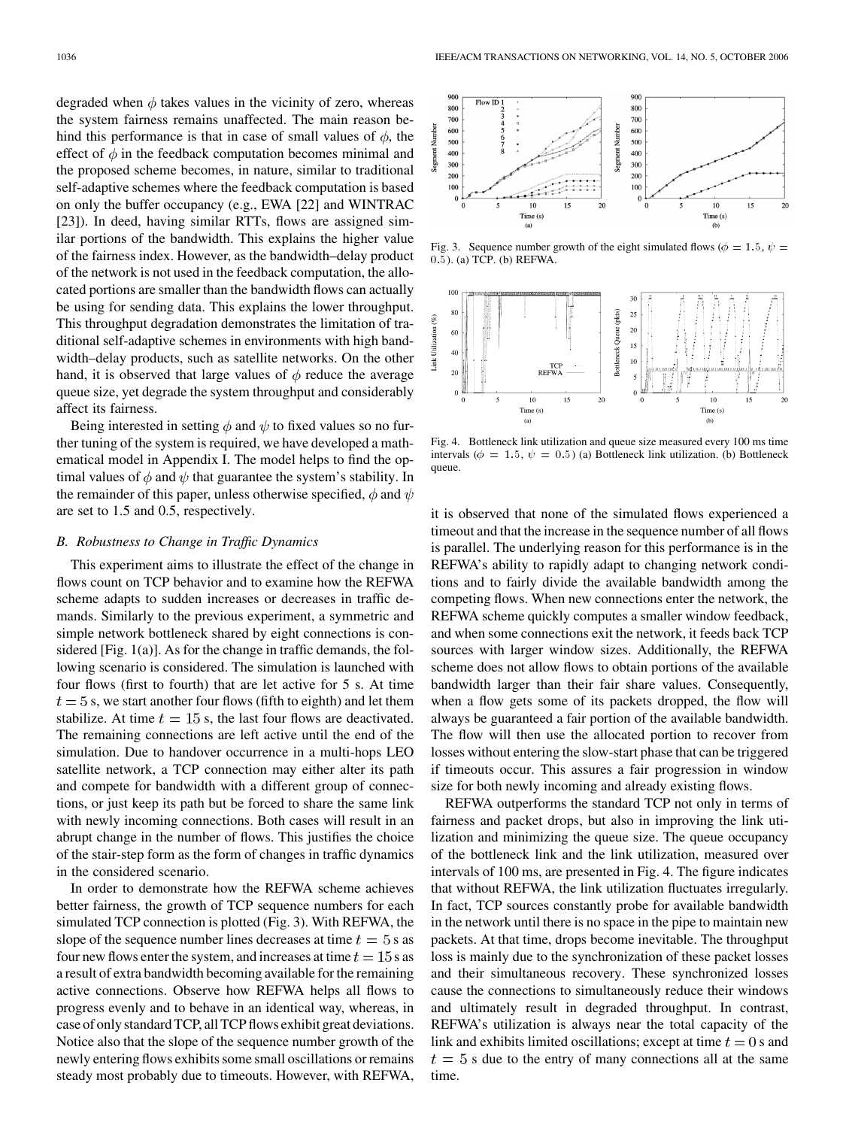0:5). (a) TCP. (b) REFWA.

5

60

 $40$ ink I

 $\overline{20}$  $\overline{0}$ 

 $\Omega$ 

<span id="page-5-0"></span>the system fairness remains unaffected. The main reason behind this performance is that in case of small values of  $\phi$ , the effect of  $\phi$  in the feedback computation becomes minimal and the proposed scheme becomes, in nature, similar to traditional self-adaptive schemes where the feedback computation is based on only the buffer occupancy (e.g., EWA [\[22\]](#page-12-0) and WINTRAC [\[23\]](#page-12-0)). In deed, having similar RTTs, flows are assigned similar portions of the bandwidth. This explains the higher value of the fairness index. However, as the bandwidth–delay product of the network is not used in the feedback computation, the allocated portions are smaller than the bandwidth flows can actually be using for sending data. This explains the lower throughput. This throughput degradation demonstrates the limitation of traditional self-adaptive schemes in environments with high bandwidth–delay products, such as satellite networks. On the other hand, it is observed that large values of  $\phi$  reduce the average queue size, yet degrade the system throughput and considerably affect its fairness.

Being interested in setting  $\phi$  and  $\psi$  to fixed values so no further tuning of the system is required, we have developed a mathematical model in [Appendix I](#page-10-0). The model helps to find the optimal values of  $\phi$  and  $\psi$  that guarantee the system's stability. In the remainder of this paper, unless otherwise specified,  $\phi$  and  $\psi$ are set to 1.5 and 0.5, respectively.

# *B. Robustness to Change in Traffic Dynamics*

This experiment aims to illustrate the effect of the change in flows count on TCP behavior and to examine how the REFWA scheme adapts to sudden increases or decreases in traffic demands. Similarly to the previous experiment, a symmetric and simple network bottleneck shared by eight connections is considered [[Fig. 1\(a\)\]](#page-4-0). As for the change in traffic demands, the following scenario is considered. The simulation is launched with four flows (first to fourth) that are let active for 5 s. At time  $t=5$  s, we start another four flows (fifth to eighth) and let them stabilize. At time  $t = 15$  s, the last four flows are deactivated. The remaining connections are left active until the end of the simulation. Due to handover occurrence in a multi-hops LEO satellite network, a TCP connection may either alter its path and compete for bandwidth with a different group of connections, or just keep its path but be forced to share the same link with newly incoming connections. Both cases will result in an abrupt change in the number of flows. This justifies the choice of the stair-step form as the form of changes in traffic dynamics in the considered scenario.

In order to demonstrate how the REFWA scheme achieves better fairness, the growth of TCP sequence numbers for each simulated TCP connection is plotted (Fig. 3). With REFWA, the slope of the sequence number lines decreases at time  $t = 5$  s as four new flows enter the system, and increases at time  $t = 15$  s as a result of extra bandwidth becoming available for the remaining active connections. Observe how REFWA helps all flows to progress evenly and to behave in an identical way, whereas, in case of only standard TCP, all TCP flows exhibit great deviations. Notice also that the slope of the sequence number growth of the newly entering flows exhibits some small oscillations or remains steady most probably due to timeouts. However, with REFWA,

100 30 Bottleneck Queue (pkts)  $25$ 

TCP<br>REFWA

 $10$ 

Time (s)

 $15$ 

 $\overline{20}$ 

 $15$ 

 $\overline{10}$ 

 $10$ 

 $Time(s)$ 

15

Fig. 4. Bottleneck link utilization and queue size measured every 100 ms time intervals ( $\phi = 1.5$ ,  $\psi = 0.5$ ) (a) Bottleneck link utilization. (b) Bottleneck

 $\overline{20}$ 

Fig. 3. Sequence number growth of the eight simulated flows ( $\phi = 1.5$ ,  $\psi =$ 



REFWA outperforms the standard TCP not only in terms of fairness and packet drops, but also in improving the link utilization and minimizing the queue size. The queue occupancy of the bottleneck link and the link utilization, measured over intervals of 100 ms, are presented in Fig. 4. The figure indicates that without REFWA, the link utilization fluctuates irregularly. In fact, TCP sources constantly probe for available bandwidth in the network until there is no space in the pipe to maintain new packets. At that time, drops become inevitable. The throughput loss is mainly due to the synchronization of these packet losses and their simultaneous recovery. These synchronized losses cause the connections to simultaneously reduce their windows and ultimately result in degraded throughput. In contrast, REFWA's utilization is always near the total capacity of the link and exhibits limited oscillations; except at time  $t = 0$  s and  $t = 5$  s due to the entry of many connections all at the same time.

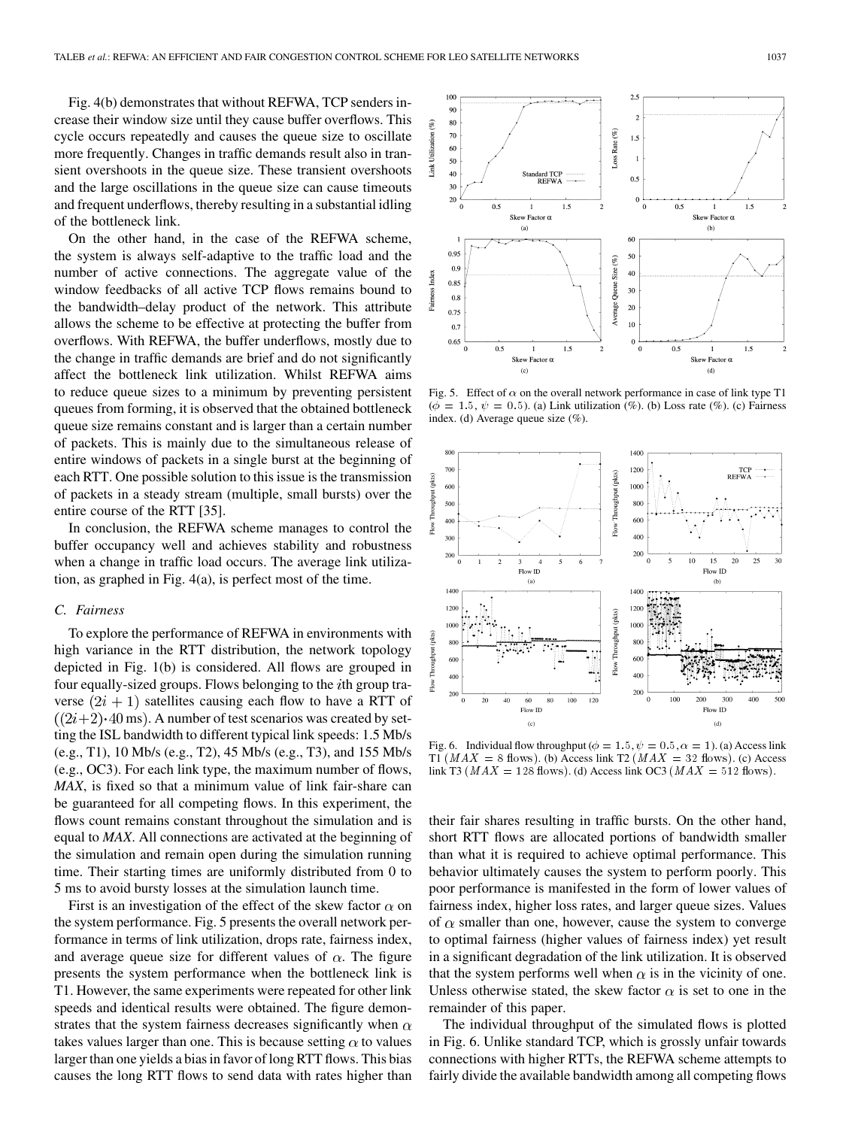[Fig. 4\(b\)](#page-5-0) demonstrates that without REFWA, TCP senders increase their window size until they cause buffer overflows. This cycle occurs repeatedly and causes the queue size to oscillate more frequently. Changes in traffic demands result also in transient overshoots in the queue size. These transient overshoots and the large oscillations in the queue size can cause timeouts and frequent underflows, thereby resulting in a substantial idling of the bottleneck link.

On the other hand, in the case of the REFWA scheme, the system is always self-adaptive to the traffic load and the number of active connections. The aggregate value of the window feedbacks of all active TCP flows remains bound to the bandwidth–delay product of the network. This attribute allows the scheme to be effective at protecting the buffer from overflows. With REFWA, the buffer underflows, mostly due to the change in traffic demands are brief and do not significantly affect the bottleneck link utilization. Whilst REFWA aims to reduce queue sizes to a minimum by preventing persistent queues from forming, it is observed that the obtained bottleneck queue size remains constant and is larger than a certain number of packets. This is mainly due to the simultaneous release of entire windows of packets in a single burst at the beginning of each RTT. One possible solution to this issue is the transmission of packets in a steady stream (multiple, small bursts) over the entire course of the RTT [\[35\]](#page-13-0).

In conclusion, the REFWA scheme manages to control the buffer occupancy well and achieves stability and robustness when a change in traffic load occurs. The average link utilization, as graphed in [Fig. 4\(a\),](#page-5-0) is perfect most of the time.

# *C. Fairness*

To explore the performance of REFWA in environments with high variance in the RTT distribution, the network topology depicted in [Fig. 1\(b\)](#page-4-0) is considered. All flows are grouped in four equally-sized groups. Flows belonging to the  $i$ th group traverse  $(2i + 1)$  satellites causing each flow to have a RTT of  $((2i+2)\cdot 40 \text{ ms})$ . A number of test scenarios was created by setting the ISL bandwidth to different typical link speeds: 1.5 Mb/s (e.g., T1), 10 Mb/s (e.g., T2), 45 Mb/s (e.g., T3), and 155 Mb/s (e.g., OC3). For each link type, the maximum number of flows, *MAX*, is fixed so that a minimum value of link fair-share can be guaranteed for all competing flows. In this experiment, the flows count remains constant throughout the simulation and is equal to *MAX*. All connections are activated at the beginning of the simulation and remain open during the simulation running time. Their starting times are uniformly distributed from 0 to 5 ms to avoid bursty losses at the simulation launch time.

First is an investigation of the effect of the skew factor  $\alpha$  on the system performance. Fig. 5 presents the overall network performance in terms of link utilization, drops rate, fairness index, and average queue size for different values of  $\alpha$ . The figure presents the system performance when the bottleneck link is T1. However, the same experiments were repeated for other link speeds and identical results were obtained. The figure demonstrates that the system fairness decreases significantly when  $\alpha$ takes values larger than one. This is because setting  $\alpha$  to values larger than one yields a bias in favor of long RTT flows. This bias causes the long RTT flows to send data with rates higher than



Fig. 5. Effect of  $\alpha$  on the overall network performance in case of link type T1 ( $\phi = 1.5, \psi = 0.5$ ). (a) Link utilization (%). (b) Loss rate (%). (c) Fairness index. (d) Average queue size (%).



Fig. 6. Individual flow throughput ( $\phi = 1.5$ ,  $\psi = 0.5$ ,  $\alpha = 1$ ). (a) Access link T1 ( $MAX = 8$  flows). (b) Access link T2 ( $MAX = 32$  flows). (c) Access link T3 ( $MAX = 128$  flows). (d) Access link OC3 ( $MAX = 512$  flows).

their fair shares resulting in traffic bursts. On the other hand, short RTT flows are allocated portions of bandwidth smaller than what it is required to achieve optimal performance. This behavior ultimately causes the system to perform poorly. This poor performance is manifested in the form of lower values of fairness index, higher loss rates, and larger queue sizes. Values of  $\alpha$  smaller than one, however, cause the system to converge to optimal fairness (higher values of fairness index) yet result in a significant degradation of the link utilization. It is observed that the system performs well when  $\alpha$  is in the vicinity of one. Unless otherwise stated, the skew factor  $\alpha$  is set to one in the remainder of this paper.

The individual throughput of the simulated flows is plotted in Fig. 6. Unlike standard TCP, which is grossly unfair towards connections with higher RTTs, the REFWA scheme attempts to fairly divide the available bandwidth among all competing flows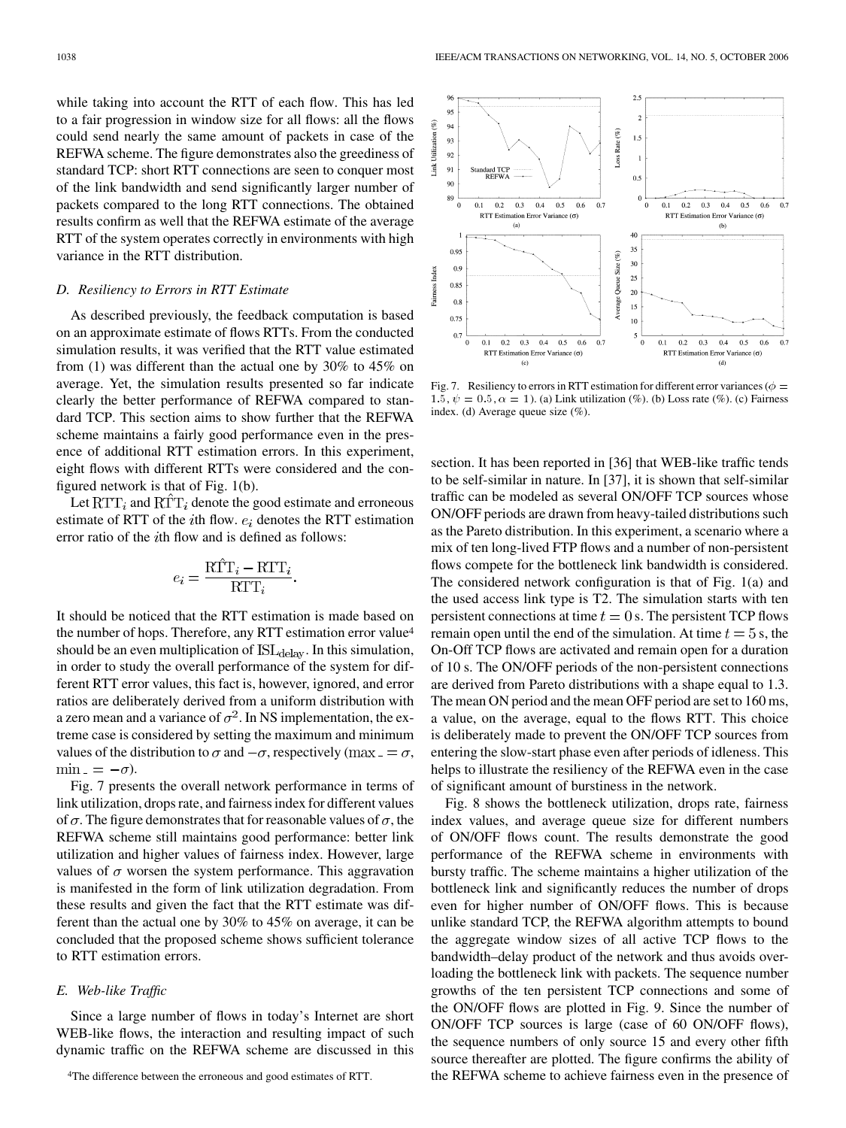while taking into account the RTT of each flow. This has led to a fair progression in window size for all flows: all the flows could send nearly the same amount of packets in case of the REFWA scheme. The figure demonstrates also the greediness of standard TCP: short RTT connections are seen to conquer most of the link bandwidth and send significantly larger number of packets compared to the long RTT connections. The obtained results confirm as well that the REFWA estimate of the average RTT of the system operates correctly in environments with high variance in the RTT distribution.

# *D. Resiliency to Errors in RTT Estimate*

As described previously, the feedback computation is based on an approximate estimate of flows RTTs. From the conducted simulation results, it was verified that the RTT value estimated from [\(1\)](#page-2-0) was different than the actual one by 30% to 45% on average. Yet, the simulation results presented so far indicate clearly the better performance of REFWA compared to standard TCP. This section aims to show further that the REFWA scheme maintains a fairly good performance even in the presence of additional RTT estimation errors. In this experiment, eight flows with different RTTs were considered and the configured network is that of [Fig. 1\(b\)](#page-4-0).

Let  $RTT_i$  and  $RTT_i$  denote the good estimate and erroneous estimate of RTT of the *i*th flow.  $e_i$  denotes the RTT estimation error ratio of the *i*th flow and is defined as follows:

$$
e_i = \frac{\mathbf{RTT}_i - \mathbf{RTT}_i}{\mathbf{RTT}_i}
$$

It should be noticed that the RTT estimation is made based on the number of hops. Therefore, any RTT estimation error value4 should be an even multiplication of  $ISL_{delay}$ . In this simulation, in order to study the overall performance of the system for different RTT error values, this fact is, however, ignored, and error ratios are deliberately derived from a uniform distribution with a zero mean and a variance of  $\sigma^2$ . In NS implementation, the extreme case is considered by setting the maximum and minimum values of the distribution to  $\sigma$  and  $-\sigma$ , respectively (max  $= \sigma$ ,  $\min = -\sigma$ ).

Fig. 7 presents the overall network performance in terms of link utilization, drops rate, and fairness index for different values of  $\sigma$ . The figure demonstrates that for reasonable values of  $\sigma$ , the REFWA scheme still maintains good performance: better link utilization and higher values of fairness index. However, large values of  $\sigma$  worsen the system performance. This aggravation is manifested in the form of link utilization degradation. From these results and given the fact that the RTT estimate was different than the actual one by 30% to 45% on average, it can be concluded that the proposed scheme shows sufficient tolerance to RTT estimation errors.

## *E. Web-like Traffic*

Since a large number of flows in today's Internet are short WEB-like flows, the interaction and resulting impact of such dynamic traffic on the REFWA scheme are discussed in this



Fig. 7. Resiliency to errors in RTT estimation for different error variances ( $\phi =$ 1.5,  $\psi = 0.5$ ,  $\alpha = 1$ ). (a) Link utilization (%). (b) Loss rate (%). (c) Fairness index. (d) Average queue size (%).

section. It has been reported in [\[36\]](#page-13-0) that WEB-like traffic tends to be self-similar in nature. In [\[37\]](#page-13-0), it is shown that self-similar traffic can be modeled as several ON/OFF TCP sources whose ON/OFF periods are drawn from heavy-tailed distributions such as the Pareto distribution. In this experiment, a scenario where a mix of ten long-lived FTP flows and a number of non-persistent flows compete for the bottleneck link bandwidth is considered. The considered network configuration is that of [Fig. 1\(a\)](#page-4-0) and the used access link type is T2. The simulation starts with ten persistent connections at time  $t = 0$  s. The persistent TCP flows remain open until the end of the simulation. At time  $t = 5$  s, the On-Off TCP flows are activated and remain open for a duration of 10 s. The ON/OFF periods of the non-persistent connections are derived from Pareto distributions with a shape equal to 1.3. The mean ON period and the mean OFF period are set to 160 ms, a value, on the average, equal to the flows RTT. This choice is deliberately made to prevent the ON/OFF TCP sources from entering the slow-start phase even after periods of idleness. This helps to illustrate the resiliency of the REFWA even in the case of significant amount of burstiness in the network.

[Fig. 8](#page-8-0) shows the bottleneck utilization, drops rate, fairness index values, and average queue size for different numbers of ON/OFF flows count. The results demonstrate the good performance of the REFWA scheme in environments with bursty traffic. The scheme maintains a higher utilization of the bottleneck link and significantly reduces the number of drops even for higher number of ON/OFF flows. This is because unlike standard TCP, the REFWA algorithm attempts to bound the aggregate window sizes of all active TCP flows to the bandwidth–delay product of the network and thus avoids overloading the bottleneck link with packets. The sequence number growths of the ten persistent TCP connections and some of the ON/OFF flows are plotted in [Fig. 9](#page-8-0). Since the number of ON/OFF TCP sources is large (case of 60 ON/OFF flows), the sequence numbers of only source 15 and every other fifth source thereafter are plotted. The figure confirms the ability of the REFWA scheme to achieve fairness even in the presence of

<sup>4</sup>The difference between the erroneous and good estimates of RTT.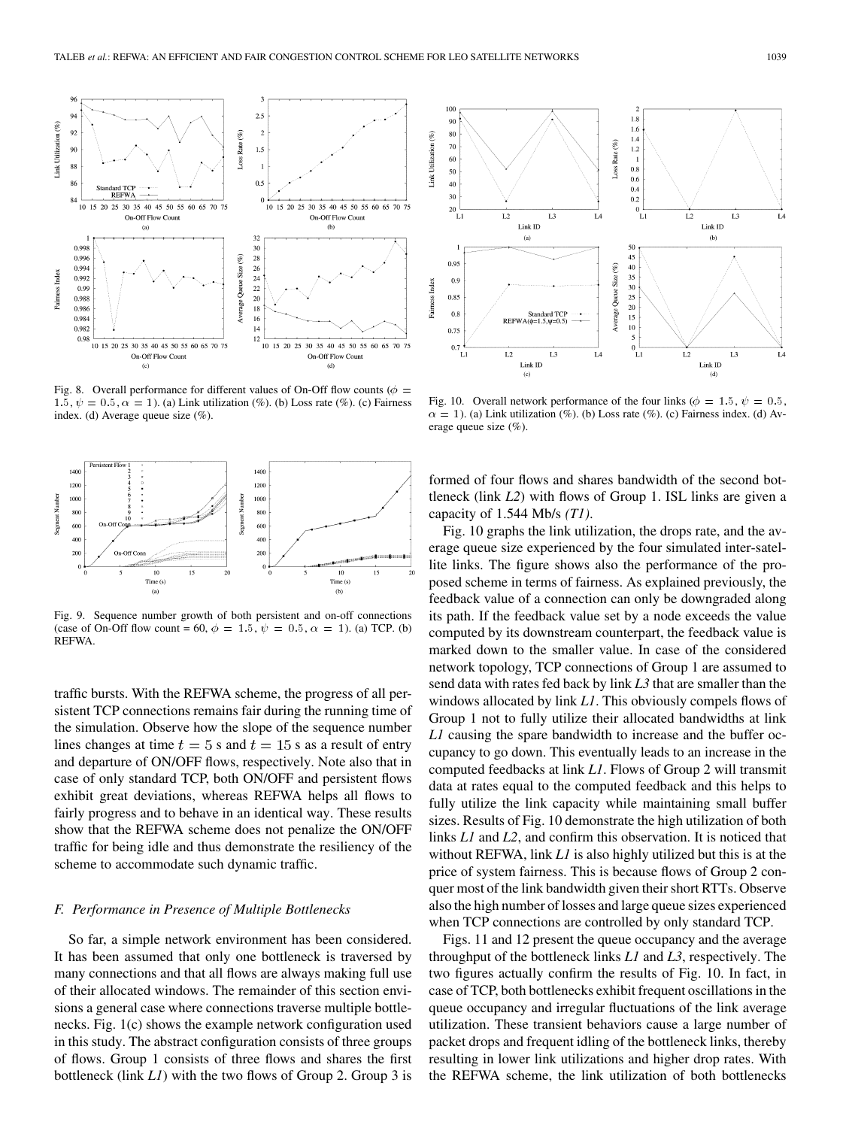<span id="page-8-0"></span>

Fig. 8. Overall performance for different values of On-Off flow counts ( $\phi$  = 1.5,  $\psi = 0.5$ ,  $\alpha = 1$ ). (a) Link utilization (%). (b) Loss rate (%). (c) Fairness index. (d) Average queue size (%).



Fig. 9. Sequence number growth of both persistent and on-off connections (case of On-Off flow count = 60,  $\phi = 1.5$ ,  $\psi = 0.5$ ,  $\alpha = 1$ ). (a) TCP. (b) REFWA.

traffic bursts. With the REFWA scheme, the progress of all persistent TCP connections remains fair during the running time of the simulation. Observe how the slope of the sequence number lines changes at time  $t = 5$  s and  $t = 15$  s as a result of entry and departure of ON/OFF flows, respectively. Note also that in case of only standard TCP, both ON/OFF and persistent flows exhibit great deviations, whereas REFWA helps all flows to fairly progress and to behave in an identical way. These results show that the REFWA scheme does not penalize the ON/OFF traffic for being idle and thus demonstrate the resiliency of the scheme to accommodate such dynamic traffic.

# *F. Performance in Presence of Multiple Bottlenecks*

So far, a simple network environment has been considered. It has been assumed that only one bottleneck is traversed by many connections and that all flows are always making full use of their allocated windows. The remainder of this section envisions a general case where connections traverse multiple bottlenecks. [Fig. 1\(c\)](#page-4-0) shows the example network configuration used in this study. The abstract configuration consists of three groups of flows. Group 1 consists of three flows and shares the first bottleneck (link *L1*) with the two flows of Group 2. Group 3 is



Fig. 10. Overall network performance of the four links ( $\phi = 1.5$ ,  $\psi = 0.5$ ,  $\alpha = 1$ ). (a) Link utilization (%). (b) Loss rate (%). (c) Fairness index. (d) Average queue size (%).

formed of four flows and shares bandwidth of the second bottleneck (link *L2*) with flows of Group 1. ISL links are given a capacity of 1.544 Mb/s *(T1)*.

Fig. 10 graphs the link utilization, the drops rate, and the average queue size experienced by the four simulated inter-satellite links. The figure shows also the performance of the proposed scheme in terms of fairness. As explained previously, the feedback value of a connection can only be downgraded along its path. If the feedback value set by a node exceeds the value computed by its downstream counterpart, the feedback value is marked down to the smaller value. In case of the considered network topology, TCP connections of Group 1 are assumed to send data with rates fed back by link *L3* that are smaller than the windows allocated by link *L1*. This obviously compels flows of Group 1 not to fully utilize their allocated bandwidths at link *L1* causing the spare bandwidth to increase and the buffer occupancy to go down. This eventually leads to an increase in the computed feedbacks at link *L1*. Flows of Group 2 will transmit data at rates equal to the computed feedback and this helps to fully utilize the link capacity while maintaining small buffer sizes. Results of Fig. 10 demonstrate the high utilization of both links *L1* and *L2*, and confirm this observation. It is noticed that without REFWA, link *L1* is also highly utilized but this is at the price of system fairness. This is because flows of Group 2 conquer most of the link bandwidth given their short RTTs. Observe also the high number of losses and large queue sizes experienced when TCP connections are controlled by only standard TCP.

[Figs. 11](#page-9-0) and [12](#page-9-0) present the queue occupancy and the average throughput of the bottleneck links *L1* and *L3*, respectively. The two figures actually confirm the results of Fig. 10. In fact, in case of TCP, both bottlenecks exhibit frequent oscillations in the queue occupancy and irregular fluctuations of the link average utilization. These transient behaviors cause a large number of packet drops and frequent idling of the bottleneck links, thereby resulting in lower link utilizations and higher drop rates. With the REFWA scheme, the link utilization of both bottlenecks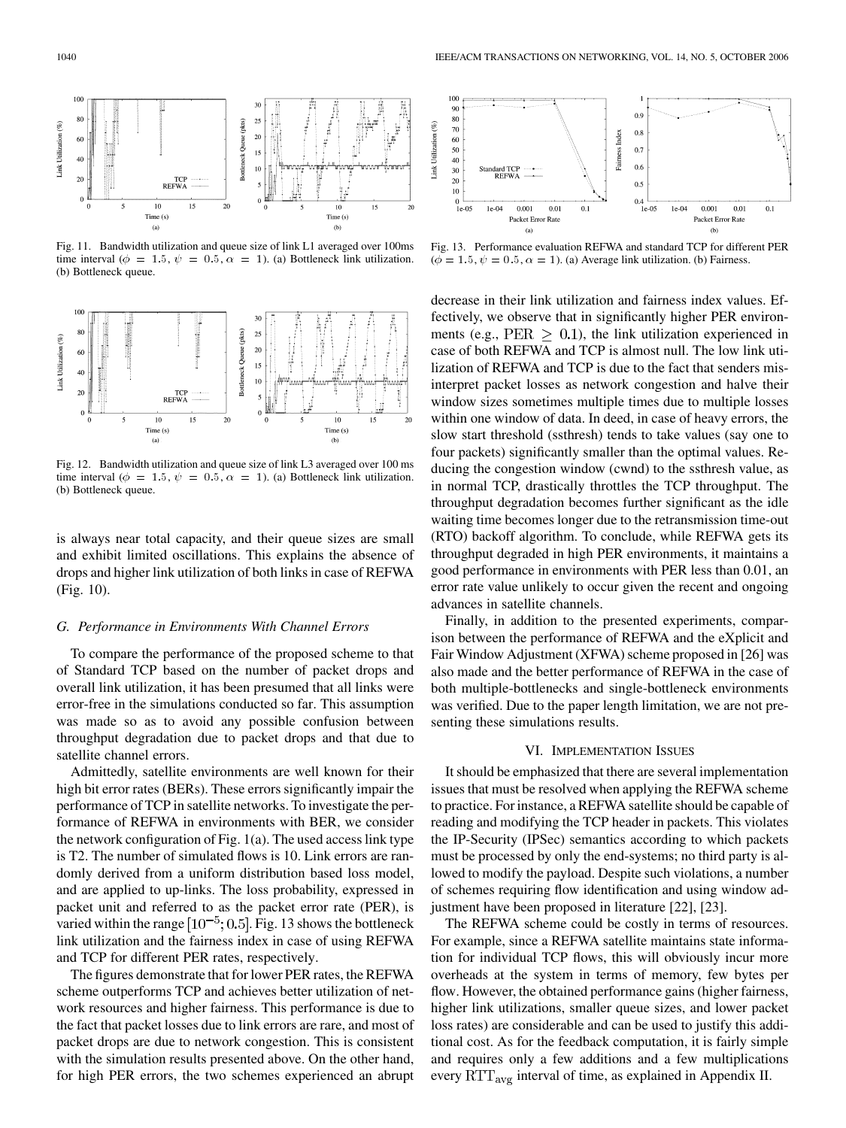<span id="page-9-0"></span>

Fig. 11. Bandwidth utilization and queue size of link L1 averaged over 100ms time interval ( $\phi = 1.5$ ,  $\psi = 0.5$ ,  $\alpha = 1$ ). (a) Bottleneck link utilization. (b) Bottleneck queue.



Fig. 12. Bandwidth utilization and queue size of link L3 averaged over 100 ms time interval ( $\phi = 1.5$ ,  $\psi = 0.5$ ,  $\alpha = 1$ ). (a) Bottleneck link utilization. (b) Bottleneck queue.

is always near total capacity, and their queue sizes are small and exhibit limited oscillations. This explains the absence of drops and higher link utilization of both links in case of REFWA ([Fig. 10\)](#page-8-0).

# *G. Performance in Environments With Channel Errors*

To compare the performance of the proposed scheme to that of Standard TCP based on the number of packet drops and overall link utilization, it has been presumed that all links were error-free in the simulations conducted so far. This assumption was made so as to avoid any possible confusion between throughput degradation due to packet drops and that due to satellite channel errors.

Admittedly, satellite environments are well known for their high bit error rates (BERs). These errors significantly impair the performance of TCP in satellite networks. To investigate the performance of REFWA in environments with BER, we consider the network configuration of [Fig. 1\(a\).](#page-4-0) The used access link type is T2. The number of simulated flows is 10. Link errors are randomly derived from a uniform distribution based loss model, and are applied to up-links. The loss probability, expressed in packet unit and referred to as the packet error rate (PER), is varied within the range  $[10^{-5}; 0.5]$ . Fig. 13 shows the bottleneck link utilization and the fairness index in case of using REFWA and TCP for different PER rates, respectively.

The figures demonstrate that for lower PER rates, the REFWA scheme outperforms TCP and achieves better utilization of network resources and higher fairness. This performance is due to the fact that packet losses due to link errors are rare, and most of packet drops are due to network congestion. This is consistent with the simulation results presented above. On the other hand, for high PER errors, the two schemes experienced an abrupt



Fig. 13. Performance evaluation REFWA and standard TCP for different PER  $(\phi = 1.5, \psi = 0.5, \alpha = 1)$ . (a) Average link utilization. (b) Fairness.

decrease in their link utilization and fairness index values. Effectively, we observe that in significantly higher PER environments (e.g.,  $PER > 0.1$ ), the link utilization experienced in case of both REFWA and TCP is almost null. The low link utilization of REFWA and TCP is due to the fact that senders misinterpret packet losses as network congestion and halve their window sizes sometimes multiple times due to multiple losses within one window of data. In deed, in case of heavy errors, the slow start threshold (ssthresh) tends to take values (say one to four packets) significantly smaller than the optimal values. Reducing the congestion window (cwnd) to the ssthresh value, as in normal TCP, drastically throttles the TCP throughput. The throughput degradation becomes further significant as the idle waiting time becomes longer due to the retransmission time-out (RTO) backoff algorithm. To conclude, while REFWA gets its throughput degraded in high PER environments, it maintains a good performance in environments with PER less than 0.01, an error rate value unlikely to occur given the recent and ongoing advances in satellite channels.

Finally, in addition to the presented experiments, comparison between the performance of REFWA and the eXplicit and Fair Window Adjustment (XFWA) scheme proposed in [\[26\]](#page-12-0) was also made and the better performance of REFWA in the case of both multiple-bottlenecks and single-bottleneck environments was verified. Due to the paper length limitation, we are not presenting these simulations results.

## VI. IMPLEMENTATION ISSUES

It should be emphasized that there are several implementation issues that must be resolved when applying the REFWA scheme to practice. For instance, a REFWA satellite should be capable of reading and modifying the TCP header in packets. This violates the IP-Security (IPSec) semantics according to which packets must be processed by only the end-systems; no third party is allowed to modify the payload. Despite such violations, a number of schemes requiring flow identification and using window adjustment have been proposed in literature [\[22\], \[23\]](#page-12-0).

The REFWA scheme could be costly in terms of resources. For example, since a REFWA satellite maintains state information for individual TCP flows, this will obviously incur more overheads at the system in terms of memory, few bytes per flow. However, the obtained performance gains (higher fairness, higher link utilizations, smaller queue sizes, and lower packet loss rates) are considerable and can be used to justify this additional cost. As for the feedback computation, it is fairly simple and requires only a few additions and a few multiplications every  $\text{RTT}_{\text{avg}}$  interval of time, as explained in [Appendix II.](#page-11-0)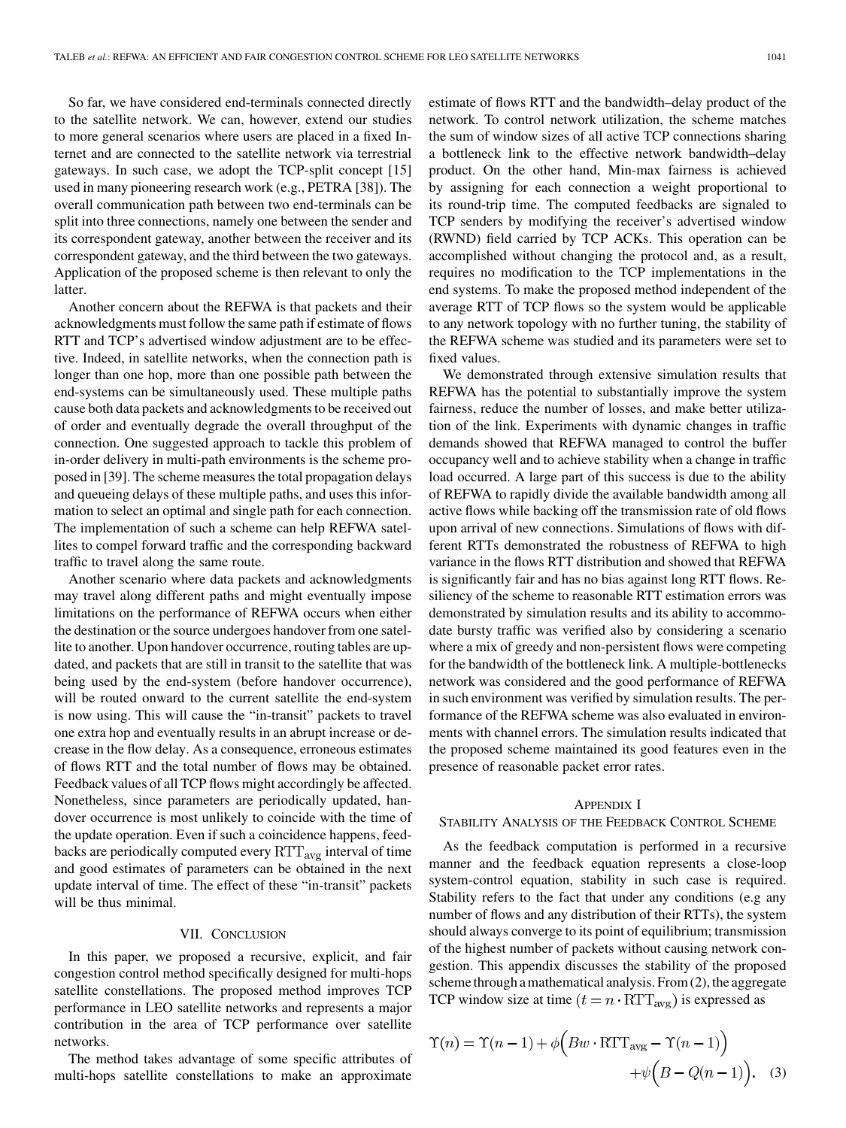<span id="page-10-0"></span>So far, we have considered end-terminals connected directly to the satellite network. We can, however, extend our studies to more general scenarios where users are placed in a fixed Internet and are connected to the satellite network via terrestrial gateways. In such case, we adopt the TCP-split concept [\[15\]](#page-12-0) used in many pioneering research work (e.g., PETRA [\[38\]\)](#page-13-0). The overall communication path between two end-terminals can be split into three connections, namely one between the sender and its correspondent gateway, another between the receiver and its correspondent gateway, and the third between the two gateways. Application of the proposed scheme is then relevant to only the latter.

Another concern about the REFWA is that packets and their acknowledgments must follow the same path if estimate of flows RTT and TCP's advertised window adjustment are to be effective. Indeed, in satellite networks, when the connection path is longer than one hop, more than one possible path between the end-systems can be simultaneously used. These multiple paths cause both data packets and acknowledgments to be received out of order and eventually degrade the overall throughput of the connection. One suggested approach to tackle this problem of in-order delivery in multi-path environments is the scheme proposed in [\[39\]](#page-13-0). The scheme measures the total propagation delays and queueing delays of these multiple paths, and uses this information to select an optimal and single path for each connection. The implementation of such a scheme can help REFWA satellites to compel forward traffic and the corresponding backward traffic to travel along the same route.

Another scenario where data packets and acknowledgments may travel along different paths and might eventually impose limitations on the performance of REFWA occurs when either the destination or the source undergoes handover from one satellite to another. Upon handover occurrence, routing tables are updated, and packets that are still in transit to the satellite that was being used by the end-system (before handover occurrence), will be routed onward to the current satellite the end-system is now using. This will cause the "in-transit" packets to travel one extra hop and eventually results in an abrupt increase or decrease in the flow delay. As a consequence, erroneous estimates of flows RTT and the total number of flows may be obtained. Feedback values of all TCP flows might accordingly be affected. Nonetheless, since parameters are periodically updated, handover occurrence is most unlikely to coincide with the time of the update operation. Even if such a coincidence happens, feedbacks are periodically computed every  $\text{RTT}_{\text{avg}}$  interval of time and good estimates of parameters can be obtained in the next update interval of time. The effect of these "in-transit" packets will be thus minimal.

#### VII. CONCLUSION

In this paper, we proposed a recursive, explicit, and fair congestion control method specifically designed for multi-hops satellite constellations. The proposed method improves TCP performance in LEO satellite networks and represents a major contribution in the area of TCP performance over satellite networks.

The method takes advantage of some specific attributes of multi-hops satellite constellations to make an approximate

estimate of flows RTT and the bandwidth–delay product of the network. To control network utilization, the scheme matches the sum of window sizes of all active TCP connections sharing a bottleneck link to the effective network bandwidth–delay product. On the other hand, Min-max fairness is achieved by assigning for each connection a weight proportional to its round-trip time. The computed feedbacks are signaled to TCP senders by modifying the receiver's advertised window (RWND) field carried by TCP ACKs. This operation can be accomplished without changing the protocol and, as a result, requires no modification to the TCP implementations in the end systems. To make the proposed method independent of the average RTT of TCP flows so the system would be applicable to any network topology with no further tuning, the stability of the REFWA scheme was studied and its parameters were set to fixed values.

We demonstrated through extensive simulation results that REFWA has the potential to substantially improve the system fairness, reduce the number of losses, and make better utilization of the link. Experiments with dynamic changes in traffic demands showed that REFWA managed to control the buffer occupancy well and to achieve stability when a change in traffic load occurred. A large part of this success is due to the ability of REFWA to rapidly divide the available bandwidth among all active flows while backing off the transmission rate of old flows upon arrival of new connections. Simulations of flows with different RTTs demonstrated the robustness of REFWA to high variance in the flows RTT distribution and showed that REFWA is significantly fair and has no bias against long RTT flows. Resiliency of the scheme to reasonable RTT estimation errors was demonstrated by simulation results and its ability to accommodate bursty traffic was verified also by considering a scenario where a mix of greedy and non-persistent flows were competing for the bandwidth of the bottleneck link. A multiple-bottlenecks network was considered and the good performance of REFWA in such environment was verified by simulation results. The performance of the REFWA scheme was also evaluated in environments with channel errors. The simulation results indicated that the proposed scheme maintained its good features even in the presence of reasonable packet error rates.

# APPENDIX I

## STABILITY ANALYSIS OF THE FEEDBACK CONTROL SCHEME

As the feedback computation is performed in a recursive manner and the feedback equation represents a close-loop system-control equation, stability in such case is required. Stability refers to the fact that under any conditions (e.g any number of flows and any distribution of their RTTs), the system should always converge to its point of equilibrium; transmission of the highest number of packets without causing network congestion. This appendix discusses the stability of the proposed scheme through a mathematical analysis. From [\(2\)](#page-2-0), the aggregate TCP window size at time  $(t = n \cdot RTT_{avg})$  is expressed as

$$
\Upsilon(n) = \Upsilon(n-1) + \phi \Big( Bw \cdot \text{RTT}_{\text{avg}} - \Upsilon(n-1) \Big) + \psi \Big( B - Q(n-1) \Big). \tag{3}
$$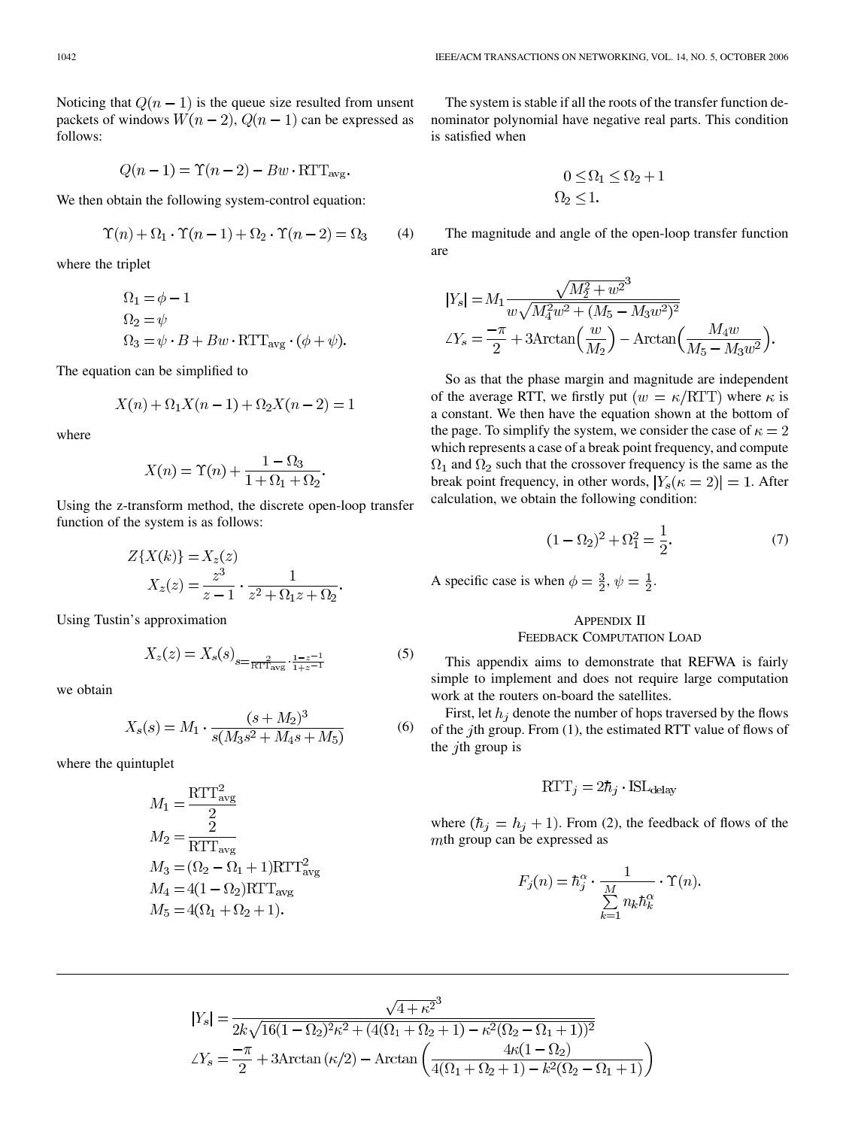<span id="page-11-0"></span>Noticing that  $Q(n - 1)$  is the queue size resulted from unsent packets of windows  $W(n-2)$ ,  $Q(n-1)$  can be expressed as follows:

$$
Q(n-1) = \Upsilon(n-2) - B\omega \cdot \text{RTT}_{\text{avg}}.
$$

We then obtain the following system-control equation:

$$
\Upsilon(n) + \Omega_1 \cdot \Upsilon(n-1) + \Omega_2 \cdot \Upsilon(n-2) = \Omega_3 \tag{4}
$$

where the triplet

$$
\Omega_1 = \phi - 1
$$
  
\n
$$
\Omega_2 = \psi
$$
  
\n
$$
\Omega_3 = \psi \cdot B + Bw \cdot RTT_{avg} \cdot (\phi + \psi).
$$

The equation can be simplified to

$$
X(n) + \Omega_1 X(n-1) + \Omega_2 X(n-2) = 1
$$

where

$$
X(n) = \Upsilon(n) + \frac{1 - \Omega_3}{1 + \Omega_1 + \Omega_2}
$$

Using the z-transform method, the discrete open-loop transfer function of the system is as follows:

$$
Z\{X(k)\} = X_z(z)
$$
  

$$
X_z(z) = \frac{z^3}{z-1} \cdot \frac{1}{z^2 + \Omega_1 z + \Omega_2}.
$$

Using Tustin's approximation

$$
X_z(z) = X_s(s)_{s = \frac{2}{\text{RTT}_{\text{avg}}}\cdot \frac{1 - z - 1}{1 + z - 1}}
$$
(5)

we obtain

$$
X_s(s) = M_1 \cdot \frac{(s + M_2)^3}{s(M_3s^2 + M_4s + M_5)}
$$
(6)

where the quintuplet

$$
M_1 = \frac{\text{RTT}_{\text{avg}}^2}{2}
$$
  
\n
$$
M_2 = \frac{2}{\text{RTT}_{\text{avg}}}
$$
  
\n
$$
M_3 = (\Omega_2 - \Omega_1 + 1)\text{RTT}_{\text{avg}}^2
$$
  
\n
$$
M_4 = 4(1 - \Omega_2)\text{RTT}_{\text{avg}}
$$
  
\n
$$
M_5 = 4(\Omega_1 + \Omega_2 + 1).
$$

The system is stable if all the roots of the transfer function denominator polynomial have negative real parts. This condition is satisfied when

$$
0 \le \Omega_1 \le \Omega_2 + 1
$$
  

$$
\Omega_2 \le 1.
$$

The magnitude and angle of the open-loop transfer function are

$$
|Y_s| = M_1 \frac{\sqrt{M_2^2 + w^2}^3}{w\sqrt{M_4^2w^2 + (M_5 - M_3w^2)^2}}
$$
  

$$
\angle Y_s = \frac{-\pi}{2} + 3 \text{Arctan}\left(\frac{w}{M_2}\right) - \text{Arctan}\left(\frac{M_4w}{M_5 - M_3w^2}\right).
$$

So as that the phase margin and magnitude are independent of the average RTT, we firstly put ( $w = \kappa / RTT$ ) where  $\kappa$  is a constant. We then have the equation shown at the bottom of the page. To simplify the system, we consider the case of  $\kappa = 2$ which represents a case of a break point frequency, and compute  $\Omega_1$  and  $\Omega_2$  such that the crossover frequency is the same as the break point frequency, in other words,  $|Y_s(\kappa=2)|=1$ . After calculation, we obtain the following condition:

$$
(1 - \Omega_2)^2 + \Omega_1^2 = \frac{1}{2}.
$$
 (7)

A specific case is when  $\phi = \frac{3}{2}, \psi = \frac{1}{2}$ .

# APPENDIX II FEEDBACK COMPUTATION LOAD

This appendix aims to demonstrate that REFWA is fairly simple to implement and does not require large computation work at the routers on-board the satellites.

First, let  $h_i$  denote the number of hops traversed by the flows of the jth group. From  $(1)$ , the estimated RTT value of flows of the *j*th group is

$$
RTT_j = 2h_j \cdot ISL_{delay}
$$

where  $(\hbar_j = h_j + 1)$ . From [\(2\)](#page-2-0), the feedback of flows of the  $m$ th group can be expressed as

$$
F_j(n) = \hbar_j^{\alpha} \cdot \frac{1}{\sum_{k=1}^M n_k \hbar_k^{\alpha}} \cdot \Upsilon(n).
$$

$$
|Y_s| = \frac{\sqrt{4 + \kappa^2}^3}{2k\sqrt{16(1 - \Omega_2)^2\kappa^2 + (4(\Omega_1 + \Omega_2 + 1) - \kappa^2(\Omega_2 - \Omega_1 + 1))^2}}
$$
  

$$
\angle Y_s = \frac{-\pi}{2} + 3 \text{Arctan}(\kappa/2) - \text{Arctan}\left(\frac{4\kappa(1 - \Omega_2)}{4(\Omega_1 + \Omega_2 + 1) - k^2(\Omega_2 - \Omega_1 + 1)}\right)
$$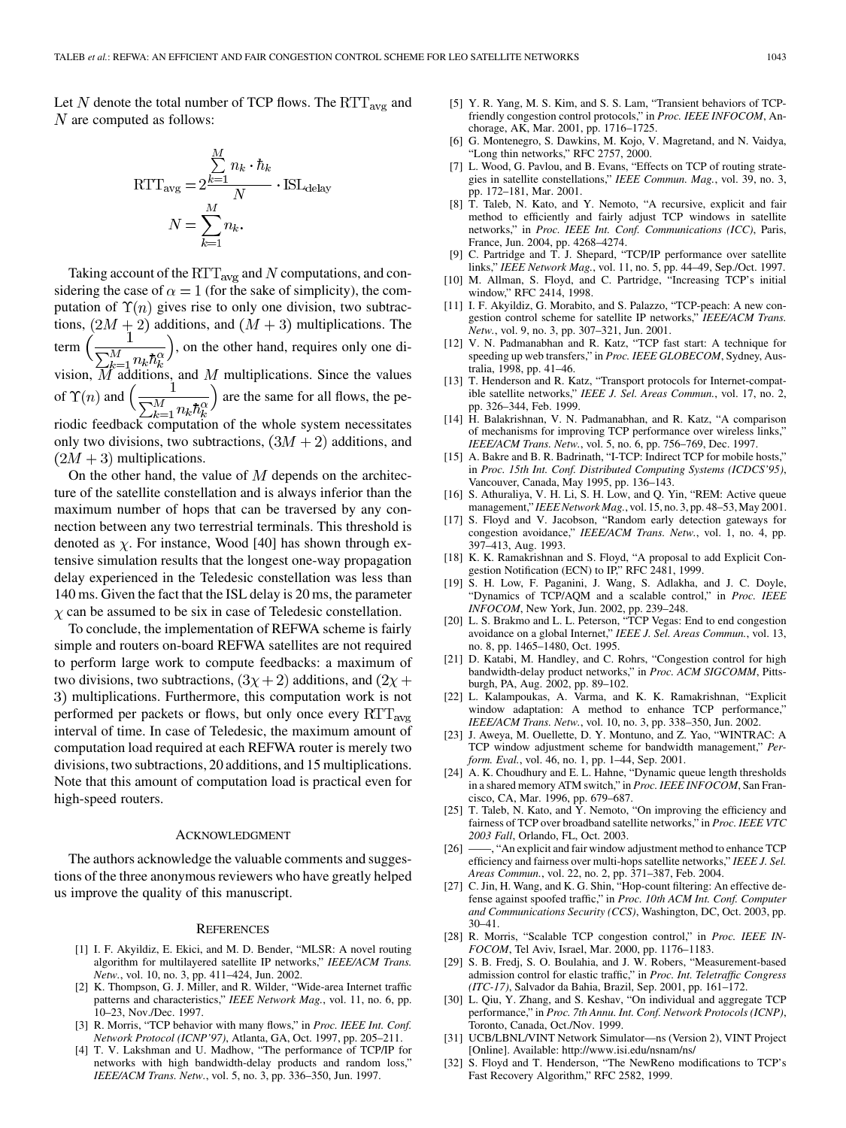<span id="page-12-0"></span>Let N denote the total number of TCP flows. The  $RTT_{avg}$  and  $N$  are computed as follows:

$$
\text{RTT}_{\text{avg}} = 2 \frac{\sum_{k=1}^{M} n_k \cdot \hbar_k}{N} \cdot \text{ISL}_{\text{delay}}
$$

$$
N = \sum_{k=1}^{M} n_k.
$$

Taking account of the  $\text{RTT}_{\text{avg}}$  and N computations, and considering the case of  $\alpha = 1$  (for the sake of simplicity), the computation of  $\Upsilon(n)$  gives rise to only one division, two subtractions,  $(2M + 2)$  additions, and  $(M + 3)$  multiplications. The term  $\left(\frac{1}{\sqrt{M}}\right)$ , on the other hand, requires only one division,  $M$  additions, and  $M$  multiplications. Since the values of  $\Upsilon(n)$  and  $\left(\frac{1}{\Box M}\right)$  are the same for all flows, the periodic feedback computation of the whole system necessitates only two divisions, two subtractions,  $(3M + 2)$  additions, and  $(2M + 3)$  multiplications.

On the other hand, the value of  $M$  depends on the architecture of the satellite constellation and is always inferior than the maximum number of hops that can be traversed by any connection between any two terrestrial terminals. This threshold is denoted as  $\chi$ . For instance, Wood [\[40\]](#page-13-0) has shown through extensive simulation results that the longest one-way propagation delay experienced in the Teledesic constellation was less than 140 ms. Given the fact that the ISL delay is 20 ms, the parameter  $\chi$  can be assumed to be six in case of Teledesic constellation.

To conclude, the implementation of REFWA scheme is fairly simple and routers on-board REFWA satellites are not required to perform large work to compute feedbacks: a maximum of two divisions, two subtractions,  $(3\chi + 2)$  additions, and  $(2\chi +$ 3) multiplications. Furthermore, this computation work is not performed per packets or flows, but only once every  $RTT_{avg}$ interval of time. In case of Teledesic, the maximum amount of computation load required at each REFWA router is merely two divisions, two subtractions, 20 additions, and 15 multiplications. Note that this amount of computation load is practical even for high-speed routers.

#### ACKNOWLEDGMENT

The authors acknowledge the valuable comments and suggestions of the three anonymous reviewers who have greatly helped us improve the quality of this manuscript.

#### **REFERENCES**

- [1] I. F. Akyildiz, E. Ekici, and M. D. Bender, "MLSR: A novel routing algorithm for multilayered satellite IP networks," *IEEE/ACM Trans. Netw.*, vol. 10, no. 3, pp. 411–424, Jun. 2002.
- [2] K. Thompson, G. J. Miller, and R. Wilder, "Wide-area Internet traffic patterns and characteristics," *IEEE Network Mag.*, vol. 11, no. 6, pp. 10–23, Nov./Dec. 1997.
- [3] R. Morris, "TCP behavior with many flows," in *Proc. IEEE Int. Conf. Network Protocol (ICNP'97)*, Atlanta, GA, Oct. 1997, pp. 205–211.
- [4] T. V. Lakshman and U. Madhow, "The performance of TCP/IP for networks with high bandwidth-delay products and random loss," *IEEE/ACM Trans. Netw.*, vol. 5, no. 3, pp. 336–350, Jun. 1997.
- [5] Y. R. Yang, M. S. Kim, and S. S. Lam, "Transient behaviors of TCPfriendly congestion control protocols," in *Proc. IEEE INFOCOM*, Anchorage, AK, Mar. 2001, pp. 1716–1725.
- [6] G. Montenegro, S. Dawkins, M. Kojo, V. Magretand, and N. Vaidya, "Long thin networks," RFC 2757, 2000.
- [7] L. Wood, G. Pavlou, and B. Evans, "Effects on TCP of routing strategies in satellite constellations," *IEEE Commun. Mag.*, vol. 39, no. 3, pp. 172–181, Mar. 2001.
- [8] T. Taleb, N. Kato, and Y. Nemoto, "A recursive, explicit and fair method to efficiently and fairly adjust TCP windows in satellite networks," in *Proc. IEEE Int. Conf. Communications (ICC)*, Paris, France, Jun. 2004, pp. 4268–4274.
- [9] C. Partridge and T. J. Shepard, "TCP/IP performance over satellite links," *IEEE Network Mag.*, vol. 11, no. 5, pp. 44–49, Sep./Oct. 1997.
- [10] M. Allman, S. Floyd, and C. Partridge, "Increasing TCP's initial window," RFC 2414, 1998.
- [11] I. F. Akyildiz, G. Morabito, and S. Palazzo, "TCP-peach: A new congestion control scheme for satellite IP networks," *IEEE/ACM Trans. Netw.*, vol. 9, no. 3, pp. 307–321, Jun. 2001.
- [12] V. N. Padmanabhan and R. Katz, "TCP fast start: A technique for speeding up web transfers," in *Proc. IEEE GLOBECOM*, Sydney, Australia, 1998, pp. 41–46.
- [13] T. Henderson and R. Katz, "Transport protocols for Internet-compatible satellite networks," *IEEE J. Sel. Areas Commun.*, vol. 17, no. 2, pp. 326–344, Feb. 1999.
- [14] H. Balakrishnan, V. N. Padmanabhan, and R. Katz, "A comparison of mechanisms for improving TCP performance over wireless links," *IEEE/ACM Trans. Netw.*, vol. 5, no. 6, pp. 756–769, Dec. 1997.
- [15] A. Bakre and B. R. Badrinath, "I-TCP: Indirect TCP for mobile hosts," in *Proc. 15th Int. Conf. Distributed Computing Systems (ICDCS'95)*, Vancouver, Canada, May 1995, pp. 136–143.
- [16] S. Athuraliya, V. H. Li, S. H. Low, and Q. Yin, "REM: Active queue management," *IEEE Network Mag.*, vol. 15, no. 3, pp. 48–53, May 2001.
- [17] S. Floyd and V. Jacobson, "Random early detection gateways for congestion avoidance," *IEEE/ACM Trans. Netw.*, vol. 1, no. 4, pp. 397–413, Aug. 1993.
- [18] K. K. Ramakrishnan and S. Floyd, "A proposal to add Explicit Congestion Notification (ECN) to IP," RFC 2481, 1999.
- [19] S. H. Low, F. Paganini, J. Wang, S. Adlakha, and J. C. Doyle, "Dynamics of TCP/AQM and a scalable control," in *Proc. IEEE INFOCOM*, New York, Jun. 2002, pp. 239–248.
- [20] L. S. Brakmo and L. L. Peterson, "TCP Vegas: End to end congestion avoidance on a global Internet," *IEEE J. Sel. Areas Commun.*, vol. 13, no. 8, pp. 1465–1480, Oct. 1995.
- [21] D. Katabi, M. Handley, and C. Rohrs, "Congestion control for high bandwidth-delay product networks," in *Proc. ACM SIGCOMM*, Pittsburgh, PA, Aug. 2002, pp. 89–102.
- [22] L. Kalampoukas, A. Varma, and K. K. Ramakrishnan, "Explicit window adaptation: A method to enhance TCP performance," *IEEE/ACM Trans. Netw.*, vol. 10, no. 3, pp. 338–350, Jun. 2002.
- [23] J. Aweya, M. Ouellette, D. Y. Montuno, and Z. Yao, "WINTRAC: A TCP window adjustment scheme for bandwidth management," *Perform. Eval.*, vol. 46, no. 1, pp. 1–44, Sep. 2001.
- [24] A. K. Choudhury and E. L. Hahne, "Dynamic queue length thresholds in a shared memory ATM switch," in *Proc. IEEE INFOCOM*, San Francisco, CA, Mar. 1996, pp. 679–687.
- [25] T. Taleb, N. Kato, and Y. Nemoto, "On improving the efficiency and fairness of TCP over broadband satellite networks," in *Proc. IEEE VTC 2003 Fall*, Orlando, FL, Oct. 2003.
- [26] ——, "An explicit and fair window adjustment method to enhance TCP efficiency and fairness over multi-hops satellite networks," *IEEE J. Sel. Areas Commun.*, vol. 22, no. 2, pp. 371–387, Feb. 2004.
- [27] C. Jin, H. Wang, and K. G. Shin, "Hop-count filtering: An effective defense against spoofed traffic," in *Proc. 10th ACM Int. Conf. Computer and Communications Security (CCS)*, Washington, DC, Oct. 2003, pp. 30–41.
- [28] R. Morris, "Scalable TCP congestion control," in *Proc. IEEE IN-FOCOM*, Tel Aviv, Israel, Mar. 2000, pp. 1176–1183.
- [29] S. B. Fredj, S. O. Boulahia, and J. W. Robers, "Measurement-based admission control for elastic traffic," in *Proc. Int. Teletraffic Congress (ITC-17)*, Salvador da Bahia, Brazil, Sep. 2001, pp. 161–172.
- [30] L. Qiu, Y. Zhang, and S. Keshav, "On individual and aggregate TCP performance," in *Proc. 7th Annu. Int. Conf. Network Protocols (ICNP)*, Toronto, Canada, Oct./Nov. 1999.
- [31] UCB/LBNL/VINT Network Simulator—ns (Version 2), VINT Project [Online]. Available: http://www.isi.edu/nsnam/ns/
- [32] S. Floyd and T. Henderson, "The NewReno modifications to TCP's Fast Recovery Algorithm," RFC 2582, 1999.